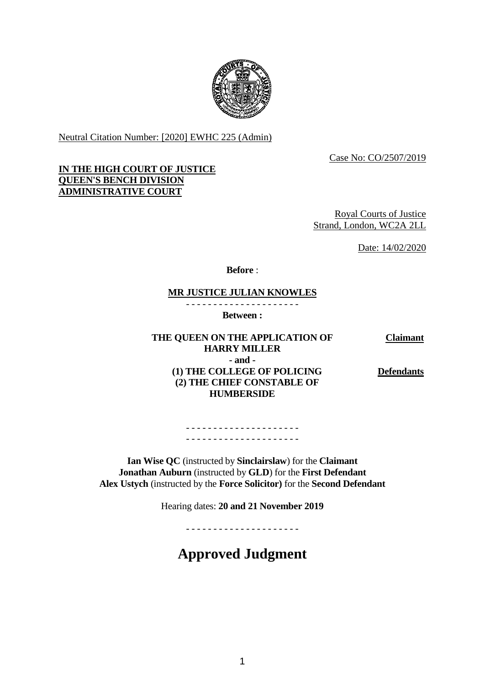

Neutral Citation Number: [2020] EWHC 225 (Admin)

Case No: CO/2507/2019

# **IN THE HIGH COURT OF JUSTICE QUEEN'S BENCH DIVISION ADMINISTRATIVE COURT**

Royal Courts of Justice Strand, London, WC2A 2LL

Date: 14/02/2020

**Before** :

# **MR JUSTICE JULIAN KNOWLES**

- - - - - - - - - - - - - - - - - - - - - **Between :**

**THE QUEEN ON THE APPLICATION OF HARRY MILLER - and - (1) THE COLLEGE OF POLICING (2) THE CHIEF CONSTABLE OF HUMBERSIDE**

**Claimant**

**Defendants**

- - - - - - - - - - - - - - - - - - - - - - - - - - - - - - - - - - - - - - - - - -

**Ian Wise QC** (instructed by **Sinclairslaw**) for the **Claimant Jonathan Auburn** (instructed by **GLD**) for the **First Defendant Alex Ustych** (instructed by the **Force Solicitor)** for the **Second Defendant**

Hearing dates: **20 and 21 November 2019**

- - - - - - - - - - - - - - - - - - - - -

# **Approved Judgment**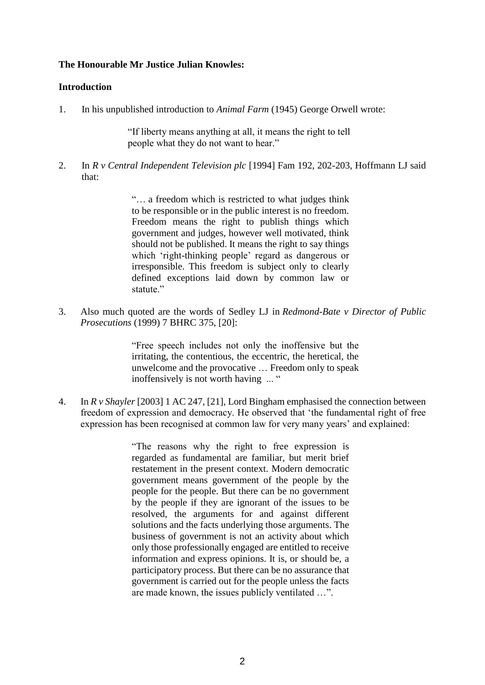# **The Honourable Mr Justice Julian Knowles:**

# **Introduction**

1. In his unpublished introduction to *Animal Farm* (1945) George Orwell wrote:

"If liberty means anything at all, it means the right to tell people what they do not want to hear."

2. In *R v Central Independent Television plc* [1994] Fam 192, 202-203, Hoffmann LJ said that:

> "… a freedom which is restricted to what judges think to be responsible or in the public interest is no freedom. Freedom means the right to publish things which government and judges, however well motivated, think should not be published. It means the right to say things which 'right-thinking people' regard as dangerous or irresponsible. This freedom is subject only to clearly defined exceptions laid down by common law or statute."

3. Also much quoted are the words of Sedley LJ in *Redmond-Bate v Director of Public Prosecutions* (1999) 7 BHRC 375, [20]:

> "Free speech includes not only the inoffensive but the irritating, the contentious, the eccentric, the heretical, the unwelcome and the provocative … Freedom only to speak inoffensively is not worth having ... "

4. In *R v Shayler* [2003] 1 AC 247, [21], Lord Bingham emphasised the connection between freedom of expression and democracy. He observed that 'the fundamental right of free expression has been recognised at common law for very many years' and explained:

> "The reasons why the right to free expression is regarded as fundamental are familiar, but merit brief restatement in the present context. Modern democratic government means government of the people by the people for the people. But there can be no government by the people if they are ignorant of the issues to be resolved, the arguments for and against different solutions and the facts underlying those arguments. The business of government is not an activity about which only those professionally engaged are entitled to receive information and express opinions. It is, or should be, a participatory process. But there can be no assurance that government is carried out for the people unless the facts are made known, the issues publicly ventilated …".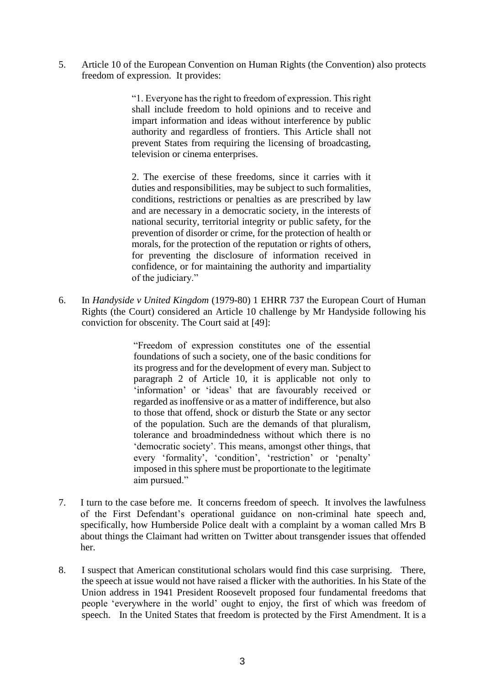5. Article 10 of the European Convention on Human Rights (the Convention) also protects freedom of expression. It provides:

> "1. Everyone has the right to freedom of expression. This right shall include freedom to hold opinions and to receive and impart information and ideas without interference by public authority and regardless of frontiers. This Article shall not prevent States from requiring the licensing of broadcasting, television or cinema enterprises.

> 2. The exercise of these freedoms, since it carries with it duties and responsibilities, may be subject to such formalities, conditions, restrictions or penalties as are prescribed by law and are necessary in a democratic society, in the interests of national security, territorial integrity or public safety, for the prevention of disorder or crime, for the protection of health or morals, for the protection of the reputation or rights of others, for preventing the disclosure of information received in confidence, or for maintaining the authority and impartiality of the judiciary."

6. In *Handyside v United Kingdom* (1979-80) 1 EHRR 737 the European Court of Human Rights (the Court) considered an Article 10 challenge by Mr Handyside following his conviction for obscenity. The Court said at [49]:

> "Freedom of expression constitutes one of the essential foundations of such a society, one of the basic conditions for its progress and for the development of every man. Subject to paragraph 2 of Article 10, it is applicable not only to 'information' or 'ideas' that are favourably received or regarded as inoffensive or as a matter of indifference, but also to those that offend, shock or disturb the State or any sector of the population. Such are the demands of that pluralism, tolerance and broadmindedness without which there is no 'democratic society'. This means, amongst other things, that every 'formality', 'condition', 'restriction' or 'penalty' imposed in this sphere must be proportionate to the legitimate aim pursued."

- 7. I turn to the case before me. It concerns freedom of speech. It involves the lawfulness of the First Defendant's operational guidance on non-criminal hate speech and, specifically, how Humberside Police dealt with a complaint by a woman called Mrs B about things the Claimant had written on Twitter about transgender issues that offended her.
- 8. I suspect that American constitutional scholars would find this case surprising. There, the speech at issue would not have raised a flicker with the authorities. In his State of the Union address in 1941 President Roosevelt proposed four fundamental freedoms that people 'everywhere in the world' ought to enjoy, the first of which was freedom of speech. In the United States that freedom is protected by the First Amendment. It is a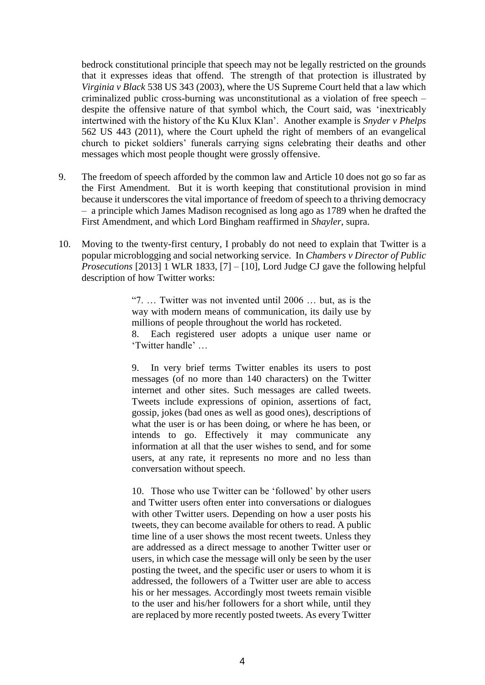bedrock constitutional principle that speech may not be legally restricted on the grounds that it expresses ideas that offend. The strength of that protection is illustrated by *Virginia v Black* 538 US 343 (2003), where the US Supreme Court held that a law which criminalized public cross-burning was unconstitutional as a violation of free speech – despite the offensive nature of that symbol which, the Court said, was 'inextricably intertwined with the history of the Ku Klux Klan'. Another example is *Snyder v Phelps* 562 US 443 (2011), where the Court upheld the right of members of an evangelical church to picket soldiers' funerals carrying signs celebrating their deaths and other messages which most people thought were grossly offensive.

- 9. The freedom of speech afforded by the common law and Article 10 does not go so far as the First Amendment. But it is worth keeping that constitutional provision in mind because it underscores the vital importance of freedom of speech to a thriving democracy – a principle which James Madison recognised as long ago as 1789 when he drafted the First Amendment, and which Lord Bingham reaffirmed in *Shayler*, supra.
- 10. Moving to the twenty-first century, I probably do not need to explain that Twitter is a popular microblogging and social networking service. In *Chambers v Director of Public Prosecutions* [2013] 1 WLR 1833, [7] – [10], Lord Judge CJ gave the following helpful description of how Twitter works:

"7. … Twitter was not invented until 2006 … but, as is the way with modern means of communication, its daily use by millions of people throughout the world has rocketed. 8. Each registered user adopts a unique user name or

'Twitter handle' …

9. In very brief terms Twitter enables its users to post messages (of no more than 140 characters) on the Twitter internet and other sites. Such messages are called tweets. Tweets include expressions of opinion, assertions of fact, gossip, jokes (bad ones as well as good ones), descriptions of what the user is or has been doing, or where he has been, or intends to go. Effectively it may communicate any information at all that the user wishes to send, and for some users, at any rate, it represents no more and no less than conversation without speech.

10. Those who use Twitter can be 'followed' by other users and Twitter users often enter into conversations or dialogues with other Twitter users. Depending on how a user posts his tweets, they can become available for others to read. A public time line of a user shows the most recent tweets. Unless they are addressed as a direct message to another Twitter user or users, in which case the message will only be seen by the user posting the tweet, and the specific user or users to whom it is addressed, the followers of a Twitter user are able to access his or her messages. Accordingly most tweets remain visible to the user and his/her followers for a short while, until they are replaced by more recently posted tweets. As every Twitter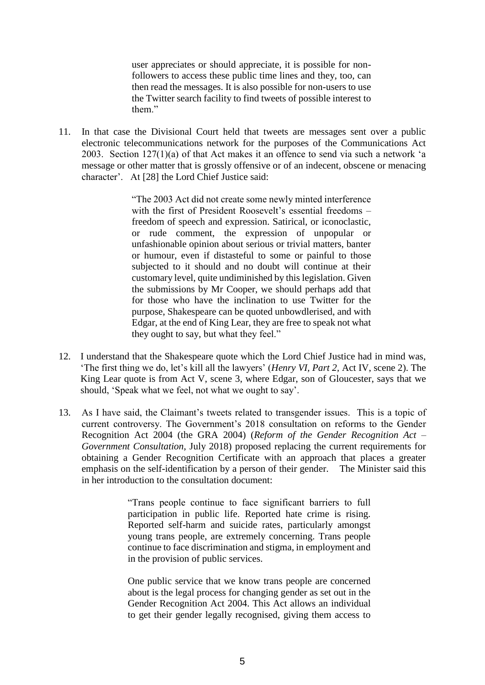user appreciates or should appreciate, it is possible for nonfollowers to access these public time lines and they, too, can then read the messages. It is also possible for non-users to use the Twitter search facility to find tweets of possible interest to them."

11. In that case the Divisional Court held that tweets are messages sent over a public electronic telecommunications network for the purposes of the Communications Act 2003. Section 127(1)(a) of that Act makes it an offence to send via such a network 'a message or other matter that is grossly offensive or of an indecent, obscene or menacing character'. At [28] the Lord Chief Justice said:

> "The 2003 Act did not create some newly minted interference with the first of President Roosevelt's essential freedoms – freedom of speech and expression. Satirical, or iconoclastic, or rude comment, the expression of unpopular or unfashionable opinion about serious or trivial matters, banter or humour, even if distasteful to some or painful to those subjected to it should and no doubt will continue at their customary level, quite undiminished by this legislation. Given the submissions by Mr Cooper, we should perhaps add that for those who have the inclination to use Twitter for the purpose, Shakespeare can be quoted unbowdlerised, and with Edgar, at the end of King Lear, they are free to speak not what they ought to say, but what they feel."

- 12. I understand that the Shakespeare quote which the Lord Chief Justice had in mind was, 'The first thing we do, let's kill all the lawyers' (*Henry VI, Part 2,* Act IV, scene 2). The King Lear quote is from Act V, scene 3, where Edgar, son of Gloucester, says that we should, 'Speak what we feel, not what we ought to say'.
- 13. As I have said, the Claimant's tweets related to transgender issues. This is a topic of current controversy. The Government's 2018 consultation on reforms to the Gender Recognition Act 2004 (the GRA 2004) (*Reform of the Gender Recognition Act – Government Consultation*, July 2018) proposed replacing the current requirements for obtaining a Gender Recognition Certificate with an approach that places a greater emphasis on the self-identification by a person of their gender. The Minister said this in her introduction to the consultation document:

"Trans people continue to face significant barriers to full participation in public life. Reported hate crime is rising. Reported self-harm and suicide rates, particularly amongst young trans people, are extremely concerning. Trans people continue to face discrimination and stigma, in employment and in the provision of public services.

One public service that we know trans people are concerned about is the legal process for changing gender as set out in the Gender Recognition Act 2004. This Act allows an individual to get their gender legally recognised, giving them access to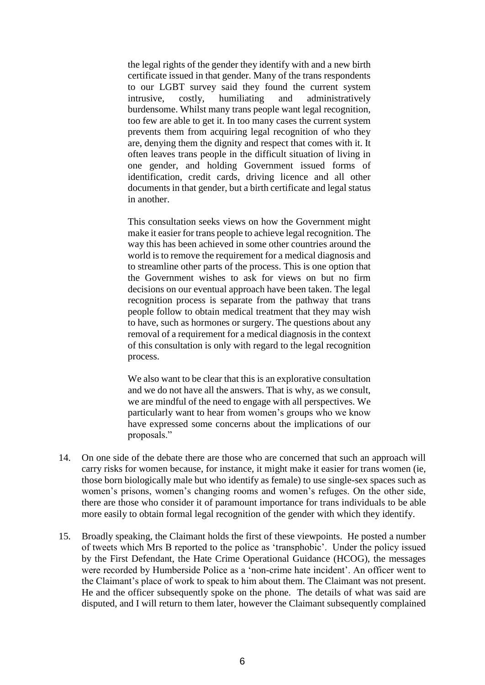the legal rights of the gender they identify with and a new birth certificate issued in that gender. Many of the trans respondents to our LGBT survey said they found the current system intrusive, costly, humiliating and administratively burdensome. Whilst many trans people want legal recognition, too few are able to get it. In too many cases the current system prevents them from acquiring legal recognition of who they are, denying them the dignity and respect that comes with it. It often leaves trans people in the difficult situation of living in one gender, and holding Government issued forms of identification, credit cards, driving licence and all other documents in that gender, but a birth certificate and legal status in another.

This consultation seeks views on how the Government might make it easier for trans people to achieve legal recognition. The way this has been achieved in some other countries around the world is to remove the requirement for a medical diagnosis and to streamline other parts of the process. This is one option that the Government wishes to ask for views on but no firm decisions on our eventual approach have been taken. The legal recognition process is separate from the pathway that trans people follow to obtain medical treatment that they may wish to have, such as hormones or surgery. The questions about any removal of a requirement for a medical diagnosis in the context of this consultation is only with regard to the legal recognition process.

We also want to be clear that this is an explorative consultation and we do not have all the answers. That is why, as we consult, we are mindful of the need to engage with all perspectives. We particularly want to hear from women's groups who we know have expressed some concerns about the implications of our proposals."

- 14. On one side of the debate there are those who are concerned that such an approach will carry risks for women because, for instance, it might make it easier for trans women (ie, those born biologically male but who identify as female) to use single-sex spaces such as women's prisons, women's changing rooms and women's refuges. On the other side, there are those who consider it of paramount importance for trans individuals to be able more easily to obtain formal legal recognition of the gender with which they identify.
- 15. Broadly speaking, the Claimant holds the first of these viewpoints. He posted a number of tweets which Mrs B reported to the police as 'transphobic'. Under the policy issued by the First Defendant, the Hate Crime Operational Guidance (HCOG), the messages were recorded by Humberside Police as a 'non-crime hate incident'. An officer went to the Claimant's place of work to speak to him about them. The Claimant was not present. He and the officer subsequently spoke on the phone. The details of what was said are disputed, and I will return to them later, however the Claimant subsequently complained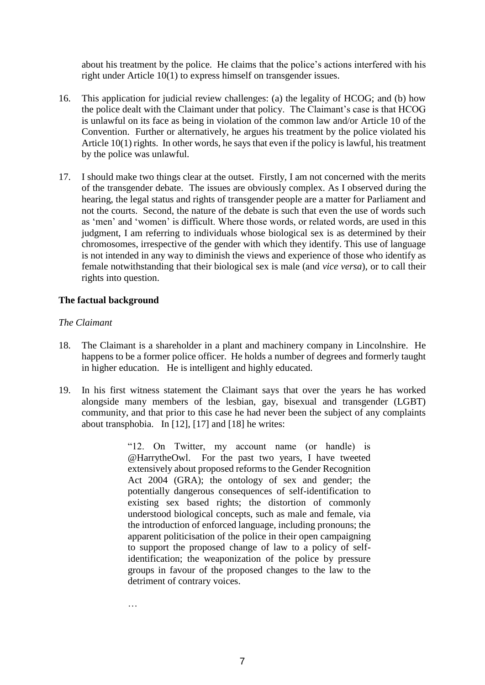about his treatment by the police. He claims that the police's actions interfered with his right under Article 10(1) to express himself on transgender issues.

- 16. This application for judicial review challenges: (a) the legality of HCOG; and (b) how the police dealt with the Claimant under that policy. The Claimant's case is that HCOG is unlawful on its face as being in violation of the common law and/or Article 10 of the Convention. Further or alternatively, he argues his treatment by the police violated his Article 10(1) rights. In other words, he says that even if the policy is lawful, his treatment by the police was unlawful.
- 17. I should make two things clear at the outset. Firstly, I am not concerned with the merits of the transgender debate. The issues are obviously complex. As I observed during the hearing, the legal status and rights of transgender people are a matter for Parliament and not the courts. Second, the nature of the debate is such that even the use of words such as 'men' and 'women' is difficult. Where those words, or related words, are used in this judgment, I am referring to individuals whose biological sex is as determined by their chromosomes, irrespective of the gender with which they identify. This use of language is not intended in any way to diminish the views and experience of those who identify as female notwithstanding that their biological sex is male (and *vice versa*), or to call their rights into question.

# **The factual background**

# *The Claimant*

- 18. The Claimant is a shareholder in a plant and machinery company in Lincolnshire. He happens to be a former police officer. He holds a number of degrees and formerly taught in higher education. He is intelligent and highly educated.
- 19. In his first witness statement the Claimant says that over the years he has worked alongside many members of the lesbian, gay, bisexual and transgender (LGBT) community, and that prior to this case he had never been the subject of any complaints about transphobia. In [12], [17] and [18] he writes:

"12. On Twitter, my account name (or handle) is @HarrytheOwl. For the past two years, I have tweeted extensively about proposed reforms to the Gender Recognition Act 2004 (GRA); the ontology of sex and gender; the potentially dangerous consequences of self-identification to existing sex based rights; the distortion of commonly understood biological concepts, such as male and female, via the introduction of enforced language, including pronouns; the apparent politicisation of the police in their open campaigning to support the proposed change of law to a policy of selfidentification; the weaponization of the police by pressure groups in favour of the proposed changes to the law to the detriment of contrary voices.

…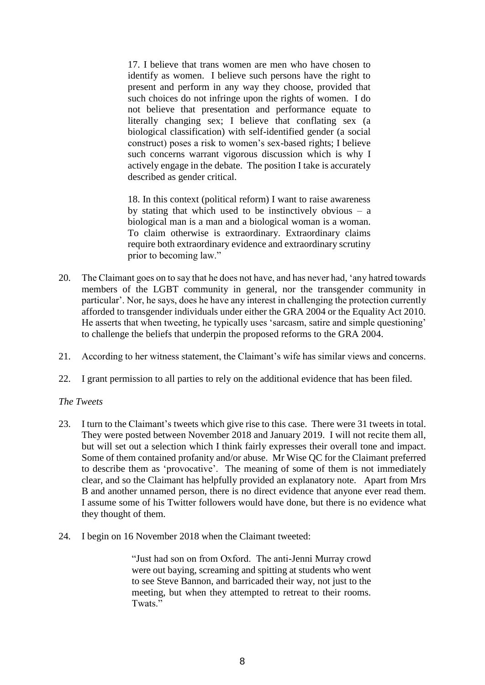17. I believe that trans women are men who have chosen to identify as women. I believe such persons have the right to present and perform in any way they choose, provided that such choices do not infringe upon the rights of women. I do not believe that presentation and performance equate to literally changing sex; I believe that conflating sex (a biological classification) with self-identified gender (a social construct) poses a risk to women's sex-based rights; I believe such concerns warrant vigorous discussion which is why I actively engage in the debate. The position I take is accurately described as gender critical.

18. In this context (political reform) I want to raise awareness by stating that which used to be instinctively obvious  $-$  a biological man is a man and a biological woman is a woman. To claim otherwise is extraordinary. Extraordinary claims require both extraordinary evidence and extraordinary scrutiny prior to becoming law."

- 20. The Claimant goes on to say that he does not have, and has never had, 'any hatred towards members of the LGBT community in general, nor the transgender community in particular'. Nor, he says, does he have any interest in challenging the protection currently afforded to transgender individuals under either the GRA 2004 or the Equality Act 2010. He asserts that when tweeting, he typically uses 'sarcasm, satire and simple questioning' to challenge the beliefs that underpin the proposed reforms to the GRA 2004.
- 21. According to her witness statement, the Claimant's wife has similar views and concerns.
- 22. I grant permission to all parties to rely on the additional evidence that has been filed.

#### *The Tweets*

- 23. I turn to the Claimant's tweets which give rise to this case. There were 31 tweets in total. They were posted between November 2018 and January 2019. I will not recite them all, but will set out a selection which I think fairly expresses their overall tone and impact. Some of them contained profanity and/or abuse. Mr Wise QC for the Claimant preferred to describe them as 'provocative'. The meaning of some of them is not immediately clear, and so the Claimant has helpfully provided an explanatory note. Apart from Mrs B and another unnamed person, there is no direct evidence that anyone ever read them. I assume some of his Twitter followers would have done, but there is no evidence what they thought of them.
- 24. I begin on 16 November 2018 when the Claimant tweeted:

"Just had son on from Oxford. The anti-Jenni Murray crowd were out baying, screaming and spitting at students who went to see Steve Bannon, and barricaded their way, not just to the meeting, but when they attempted to retreat to their rooms. Twats."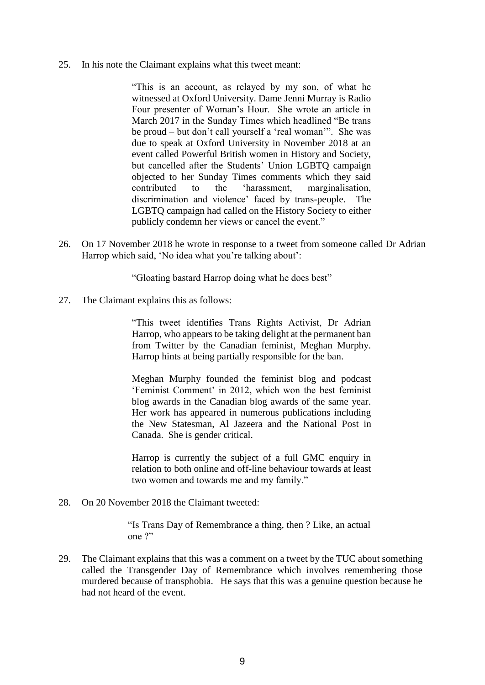25. In his note the Claimant explains what this tweet meant:

"This is an account, as relayed by my son, of what he witnessed at Oxford University. Dame Jenni Murray is Radio Four presenter of Woman's Hour. She wrote an article in March 2017 in the Sunday Times which headlined "Be trans be proud – but don't call yourself a 'real woman'". She was due to speak at Oxford University in November 2018 at an event called Powerful British women in History and Society, but cancelled after the Students' Union LGBTQ campaign objected to her Sunday Times comments which they said contributed to the 'harassment, marginalisation, discrimination and violence' faced by trans-people. The LGBTQ campaign had called on the History Society to either publicly condemn her views or cancel the event."

26. On 17 November 2018 he wrote in response to a tweet from someone called Dr Adrian Harrop which said, 'No idea what you're talking about':

"Gloating bastard Harrop doing what he does best"

27. The Claimant explains this as follows:

"This tweet identifies Trans Rights Activist, Dr Adrian Harrop, who appears to be taking delight at the permanent ban from Twitter by the Canadian feminist, Meghan Murphy. Harrop hints at being partially responsible for the ban.

Meghan Murphy founded the feminist blog and podcast 'Feminist Comment' in 2012, which won the best feminist blog awards in the Canadian blog awards of the same year. Her work has appeared in numerous publications including the New Statesman, Al Jazeera and the National Post in Canada. She is gender critical.

Harrop is currently the subject of a full GMC enquiry in relation to both online and off-line behaviour towards at least two women and towards me and my family."

28. On 20 November 2018 the Claimant tweeted:

"Is Trans Day of Remembrance a thing, then ? Like, an actual one ?"

29. The Claimant explains that this was a comment on a tweet by the TUC about something called the Transgender Day of Remembrance which involves remembering those murdered because of transphobia. He says that this was a genuine question because he had not heard of the event.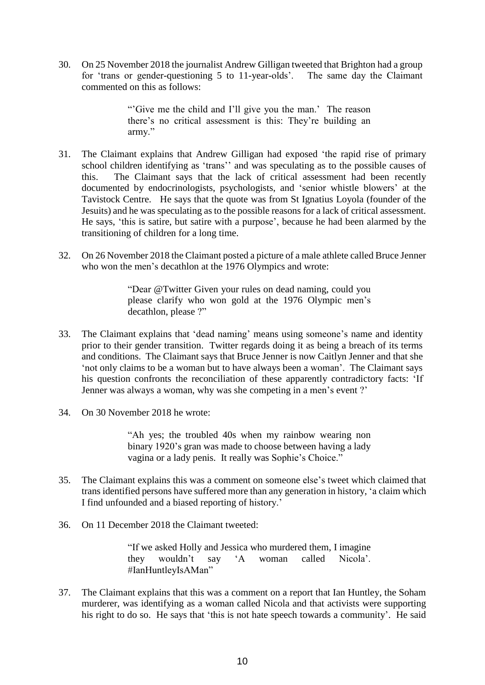30. On 25 November 2018 the journalist Andrew Gilligan tweeted that Brighton had a group for 'trans or gender-questioning 5 to 11-year-olds'. The same day the Claimant commented on this as follows:

> "'Give me the child and I'll give you the man.' The reason there's no critical assessment is this: They're building an army."

- 31. The Claimant explains that Andrew Gilligan had exposed 'the rapid rise of primary school children identifying as 'trans'' and was speculating as to the possible causes of this. The Claimant says that the lack of critical assessment had been recently documented by endocrinologists, psychologists, and 'senior whistle blowers' at the Tavistock Centre. He says that the quote was from St Ignatius Loyola (founder of the Jesuits) and he was speculating as to the possible reasons for a lack of critical assessment. He says, 'this is satire, but satire with a purpose', because he had been alarmed by the transitioning of children for a long time.
- 32. On 26 November 2018 the Claimant posted a picture of a male athlete called Bruce Jenner who won the men's decathlon at the 1976 Olympics and wrote:

"Dear @Twitter Given your rules on dead naming, could you please clarify who won gold at the 1976 Olympic men's decathlon, please ?"

- 33. The Claimant explains that 'dead naming' means using someone's name and identity prior to their gender transition. Twitter regards doing it as being a breach of its terms and conditions. The Claimant says that Bruce Jenner is now Caitlyn Jenner and that she 'not only claims to be a woman but to have always been a woman'. The Claimant says his question confronts the reconciliation of these apparently contradictory facts: 'If Jenner was always a woman, why was she competing in a men's event ?'
- 34. On 30 November 2018 he wrote:

"Ah yes; the troubled 40s when my rainbow wearing non binary 1920's gran was made to choose between having a lady vagina or a lady penis. It really was Sophie's Choice."

- 35. The Claimant explains this was a comment on someone else's tweet which claimed that trans identified persons have suffered more than any generation in history, 'a claim which I find unfounded and a biased reporting of history.'
- 36. On 11 December 2018 the Claimant tweeted:

"If we asked Holly and Jessica who murdered them, I imagine they wouldn't say 'A woman called Nicola'. #IanHuntleyIsAMan"

37. The Claimant explains that this was a comment on a report that Ian Huntley, the Soham murderer, was identifying as a woman called Nicola and that activists were supporting his right to do so. He says that 'this is not hate speech towards a community'. He said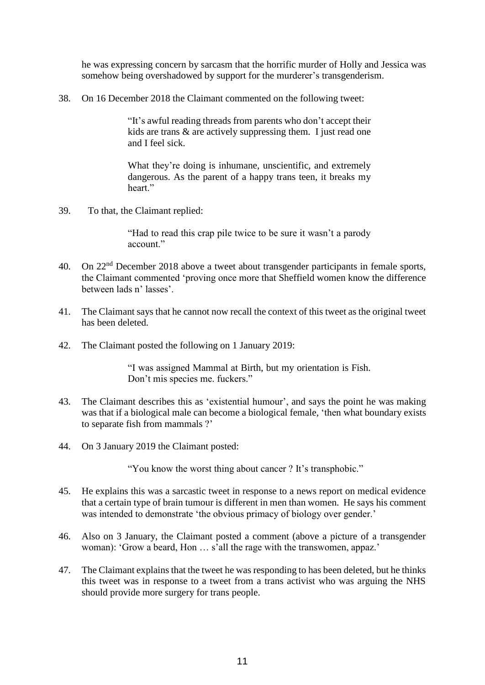he was expressing concern by sarcasm that the horrific murder of Holly and Jessica was somehow being overshadowed by support for the murderer's transgenderism.

38. On 16 December 2018 the Claimant commented on the following tweet:

"It's awful reading threads from parents who don't accept their kids are trans & are actively suppressing them. I just read one and I feel sick.

What they're doing is inhumane, unscientific, and extremely dangerous. As the parent of a happy trans teen, it breaks my heart."

39. To that, the Claimant replied:

"Had to read this crap pile twice to be sure it wasn't a parody account."

- 40. On 22<sup>nd</sup> December 2018 above a tweet about transgender participants in female sports, the Claimant commented 'proving once more that Sheffield women know the difference between lads n' lasses'.
- 41. The Claimant says that he cannot now recall the context of this tweet as the original tweet has been deleted.
- 42. The Claimant posted the following on 1 January 2019:

"I was assigned Mammal at Birth, but my orientation is Fish. Don't mis species me. fuckers."

- 43. The Claimant describes this as 'existential humour', and says the point he was making was that if a biological male can become a biological female, 'then what boundary exists to separate fish from mammals ?'
- 44. On 3 January 2019 the Claimant posted:

"You know the worst thing about cancer ? It's transphobic."

- 45. He explains this was a sarcastic tweet in response to a news report on medical evidence that a certain type of brain tumour is different in men than women. He says his comment was intended to demonstrate 'the obvious primacy of biology over gender.'
- 46. Also on 3 January, the Claimant posted a comment (above a picture of a transgender woman): 'Grow a beard, Hon … s'all the rage with the transwomen, appaz.'
- 47. The Claimant explains that the tweet he was responding to has been deleted, but he thinks this tweet was in response to a tweet from a trans activist who was arguing the NHS should provide more surgery for trans people.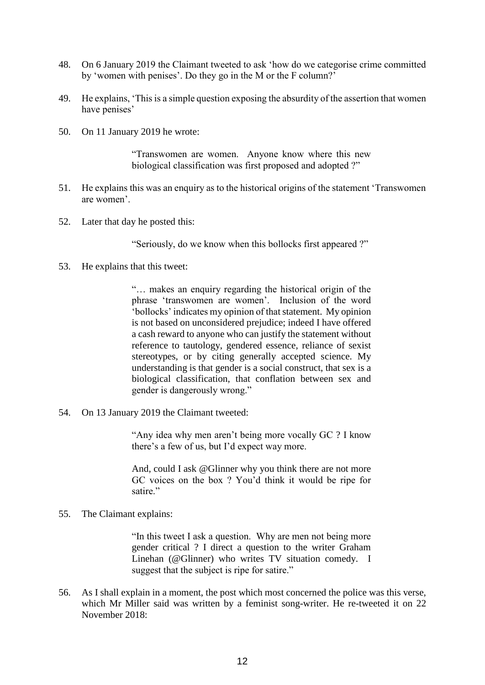- 48. On 6 January 2019 the Claimant tweeted to ask 'how do we categorise crime committed by 'women with penises'. Do they go in the M or the F column?'
- 49. He explains, 'This is a simple question exposing the absurdity of the assertion that women have penises'
- 50. On 11 January 2019 he wrote:

"Transwomen are women. Anyone know where this new biological classification was first proposed and adopted ?"

- 51. He explains this was an enquiry as to the historical origins of the statement 'Transwomen are women'.
- 52. Later that day he posted this:

"Seriously, do we know when this bollocks first appeared ?"

53. He explains that this tweet:

"… makes an enquiry regarding the historical origin of the phrase 'transwomen are women'. Inclusion of the word 'bollocks' indicates my opinion of that statement. My opinion is not based on unconsidered prejudice; indeed I have offered a cash reward to anyone who can justify the statement without reference to tautology, gendered essence, reliance of sexist stereotypes, or by citing generally accepted science. My understanding is that gender is a social construct, that sex is a biological classification, that conflation between sex and gender is dangerously wrong."

54. On 13 January 2019 the Claimant tweeted:

"Any idea why men aren't being more vocally GC ? I know there's a few of us, but I'd expect way more.

And, could I ask @Glinner why you think there are not more GC voices on the box ? You'd think it would be ripe for satire."

#### 55. The Claimant explains:

"In this tweet I ask a question. Why are men not being more gender critical ? I direct a question to the writer Graham Linehan (@Glinner) who writes TV situation comedy. I suggest that the subject is ripe for satire."

56. As I shall explain in a moment, the post which most concerned the police was this verse, which Mr Miller said was written by a feminist song-writer. He re-tweeted it on 22 November 2018: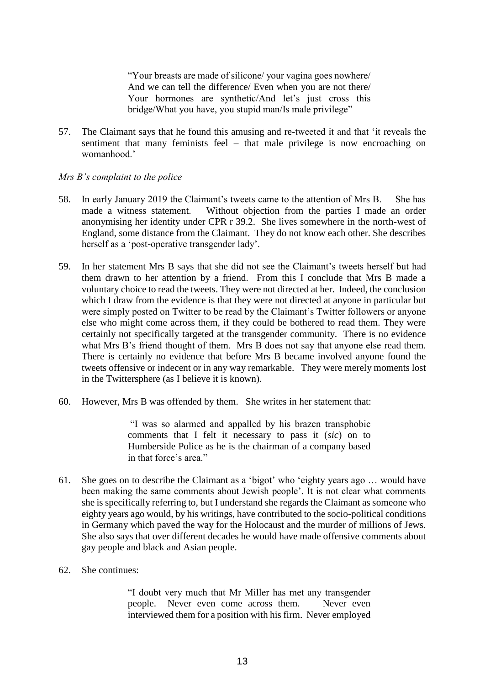"Your breasts are made of silicone/ your vagina goes nowhere/ And we can tell the difference/ Even when you are not there/ Your hormones are synthetic/And let's just cross this bridge/What you have, you stupid man/Is male privilege"

57. The Claimant says that he found this amusing and re-tweeted it and that 'it reveals the sentiment that many feminists feel – that male privilege is now encroaching on womanhood.'

# *Mrs B's complaint to the police*

- 58. In early January 2019 the Claimant's tweets came to the attention of Mrs B. She has made a witness statement. Without objection from the parties I made an order anonymising her identity under CPR r 39.2. She lives somewhere in the north-west of England, some distance from the Claimant. They do not know each other. She describes herself as a 'post-operative transgender lady'.
- 59. In her statement Mrs B says that she did not see the Claimant's tweets herself but had them drawn to her attention by a friend. From this I conclude that Mrs B made a voluntary choice to read the tweets. They were not directed at her. Indeed, the conclusion which I draw from the evidence is that they were not directed at anyone in particular but were simply posted on Twitter to be read by the Claimant's Twitter followers or anyone else who might come across them, if they could be bothered to read them. They were certainly not specifically targeted at the transgender community. There is no evidence what Mrs B's friend thought of them. Mrs B does not say that anyone else read them. There is certainly no evidence that before Mrs B became involved anyone found the tweets offensive or indecent or in any way remarkable. They were merely moments lost in the Twittersphere (as I believe it is known).
- 60. However, Mrs B was offended by them. She writes in her statement that:

"I was so alarmed and appalled by his brazen transphobic comments that I felt it necessary to pass it (*sic*) on to Humberside Police as he is the chairman of a company based in that force's area."

- 61. She goes on to describe the Claimant as a 'bigot' who 'eighty years ago … would have been making the same comments about Jewish people'. It is not clear what comments she is specifically referring to, but I understand she regards the Claimant as someone who eighty years ago would, by his writings, have contributed to the socio-political conditions in Germany which paved the way for the Holocaust and the murder of millions of Jews. She also says that over different decades he would have made offensive comments about gay people and black and Asian people.
- 62. She continues:

"I doubt very much that Mr Miller has met any transgender people. Never even come across them. Never even interviewed them for a position with his firm. Never employed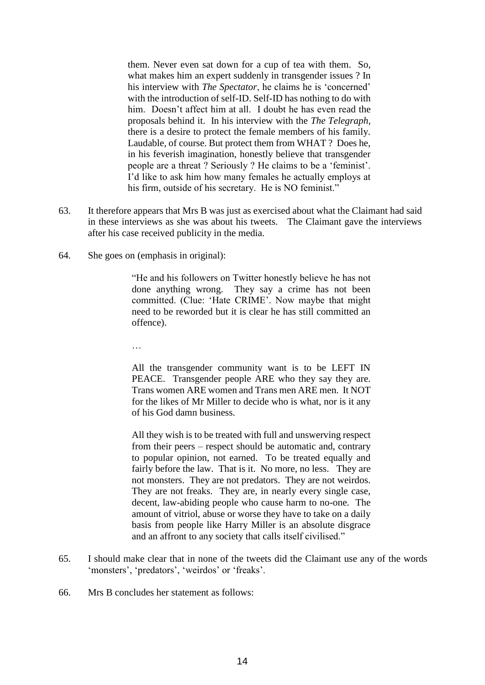them. Never even sat down for a cup of tea with them. So, what makes him an expert suddenly in transgender issues ? In his interview with *The Spectator*, he claims he is 'concerned' with the introduction of self-ID. Self-ID has nothing to do with him. Doesn't affect him at all. I doubt he has even read the proposals behind it. In his interview with the *The Telegraph*, there is a desire to protect the female members of his family. Laudable, of course. But protect them from WHAT ? Does he, in his feverish imagination, honestly believe that transgender people are a threat ? Seriously ? He claims to be a 'feminist'. I'd like to ask him how many females he actually employs at his firm, outside of his secretary. He is NO feminist."

- 63. It therefore appears that Mrs B was just as exercised about what the Claimant had said in these interviews as she was about his tweets. The Claimant gave the interviews after his case received publicity in the media.
- 64. She goes on (emphasis in original):

"He and his followers on Twitter honestly believe he has not done anything wrong. They say a crime has not been committed. (Clue: 'Hate CRIME'. Now maybe that might need to be reworded but it is clear he has still committed an offence).

…

All the transgender community want is to be LEFT IN PEACE. Transgender people ARE who they say they are. Trans women ARE women and Trans men ARE men. It NOT for the likes of Mr Miller to decide who is what, nor is it any of his God damn business.

All they wish is to be treated with full and unswerving respect from their peers – respect should be automatic and, contrary to popular opinion, not earned. To be treated equally and fairly before the law. That is it. No more, no less. They are not monsters. They are not predators. They are not weirdos. They are not freaks. They are, in nearly every single case, decent, law-abiding people who cause harm to no-one. The amount of vitriol, abuse or worse they have to take on a daily basis from people like Harry Miller is an absolute disgrace and an affront to any society that calls itself civilised."

- 65. I should make clear that in none of the tweets did the Claimant use any of the words 'monsters', 'predators', 'weirdos' or 'freaks'.
- 66. Mrs B concludes her statement as follows: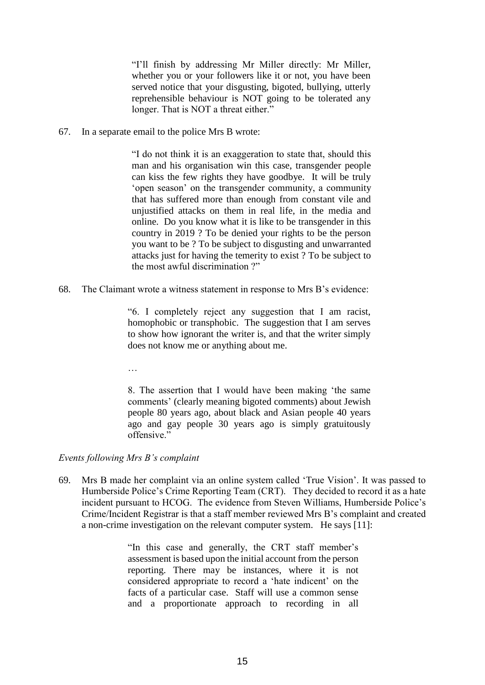"I'll finish by addressing Mr Miller directly: Mr Miller, whether you or your followers like it or not, you have been served notice that your disgusting, bigoted, bullying, utterly reprehensible behaviour is NOT going to be tolerated any longer. That is NOT a threat either."

67. In a separate email to the police Mrs B wrote:

"I do not think it is an exaggeration to state that, should this man and his organisation win this case, transgender people can kiss the few rights they have goodbye. It will be truly 'open season' on the transgender community, a community that has suffered more than enough from constant vile and unjustified attacks on them in real life, in the media and online. Do you know what it is like to be transgender in this country in 2019 ? To be denied your rights to be the person you want to be ? To be subject to disgusting and unwarranted attacks just for having the temerity to exist ? To be subject to the most awful discrimination ?"

68. The Claimant wrote a witness statement in response to Mrs B's evidence:

"6. I completely reject any suggestion that I am racist, homophobic or transphobic. The suggestion that I am serves to show how ignorant the writer is, and that the writer simply does not know me or anything about me.

…

8. The assertion that I would have been making 'the same comments' (clearly meaning bigoted comments) about Jewish people 80 years ago, about black and Asian people 40 years ago and gay people 30 years ago is simply gratuitously offensive."

# *Events following Mrs B's complaint*

69. Mrs B made her complaint via an online system called 'True Vision'. It was passed to Humberside Police's Crime Reporting Team (CRT). They decided to record it as a hate incident pursuant to HCOG. The evidence from Steven Williams, Humberside Police's Crime/Incident Registrar is that a staff member reviewed Mrs B's complaint and created a non-crime investigation on the relevant computer system. He says [11]:

> "In this case and generally, the CRT staff member's assessment is based upon the initial account from the person reporting. There may be instances, where it is not considered appropriate to record a 'hate indicent' on the facts of a particular case. Staff will use a common sense and a proportionate approach to recording in all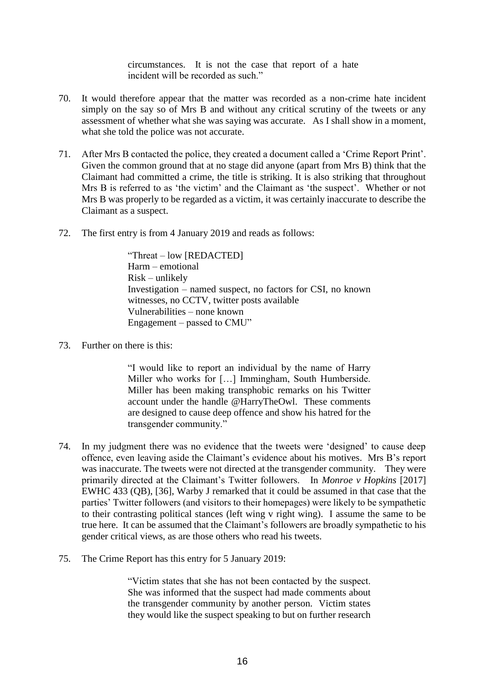circumstances. It is not the case that report of a hate incident will be recorded as such."

- 70. It would therefore appear that the matter was recorded as a non-crime hate incident simply on the say so of Mrs B and without any critical scrutiny of the tweets or any assessment of whether what she was saying was accurate. As I shall show in a moment, what she told the police was not accurate.
- 71. After Mrs B contacted the police, they created a document called a 'Crime Report Print'. Given the common ground that at no stage did anyone (apart from Mrs B) think that the Claimant had committed a crime, the title is striking. It is also striking that throughout Mrs B is referred to as 'the victim' and the Claimant as 'the suspect'. Whether or not Mrs B was properly to be regarded as a victim, it was certainly inaccurate to describe the Claimant as a suspect.
- 72. The first entry is from 4 January 2019 and reads as follows:

"Threat – low [REDACTED] Harm – emotional Risk – unlikely Investigation – named suspect, no factors for CSI, no known witnesses, no CCTV, twitter posts available Vulnerabilities – none known Engagement – passed to CMU"

73. Further on there is this:

"I would like to report an individual by the name of Harry Miller who works for […] Immingham, South Humberside. Miller has been making transphobic remarks on his Twitter account under the handle @HarryTheOwl. These comments are designed to cause deep offence and show his hatred for the transgender community."

- 74. In my judgment there was no evidence that the tweets were 'designed' to cause deep offence, even leaving aside the Claimant's evidence about his motives. Mrs B's report was inaccurate. The tweets were not directed at the transgender community. They were primarily directed at the Claimant's Twitter followers. In *Monroe v Hopkins* [2017] EWHC 433 (QB), [36], Warby J remarked that it could be assumed in that case that the parties' Twitter followers (and visitors to their homepages) were likely to be sympathetic to their contrasting political stances (left wing v right wing). I assume the same to be true here. It can be assumed that the Claimant's followers are broadly sympathetic to his gender critical views, as are those others who read his tweets.
- 75. The Crime Report has this entry for 5 January 2019:

"Victim states that she has not been contacted by the suspect. She was informed that the suspect had made comments about the transgender community by another person. Victim states they would like the suspect speaking to but on further research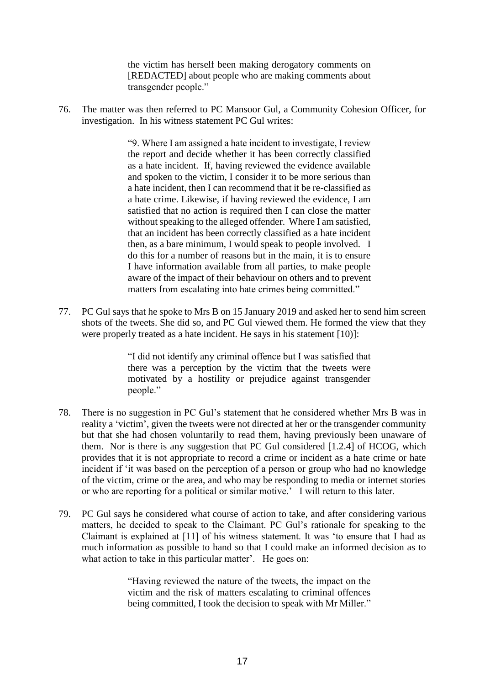the victim has herself been making derogatory comments on [REDACTED] about people who are making comments about transgender people."

76. The matter was then referred to PC Mansoor Gul, a Community Cohesion Officer, for investigation. In his witness statement PC Gul writes:

> "9. Where I am assigned a hate incident to investigate, I review the report and decide whether it has been correctly classified as a hate incident. If, having reviewed the evidence available and spoken to the victim, I consider it to be more serious than a hate incident, then I can recommend that it be re-classified as a hate crime. Likewise, if having reviewed the evidence, I am satisfied that no action is required then I can close the matter without speaking to the alleged offender. Where I am satisfied, that an incident has been correctly classified as a hate incident then, as a bare minimum, I would speak to people involved. I do this for a number of reasons but in the main, it is to ensure I have information available from all parties, to make people aware of the impact of their behaviour on others and to prevent matters from escalating into hate crimes being committed."

77. PC Gul says that he spoke to Mrs B on 15 January 2019 and asked her to send him screen shots of the tweets. She did so, and PC Gul viewed them. He formed the view that they were properly treated as a hate incident. He says in his statement [10)]:

> "I did not identify any criminal offence but I was satisfied that there was a perception by the victim that the tweets were motivated by a hostility or prejudice against transgender people."

- 78. There is no suggestion in PC Gul's statement that he considered whether Mrs B was in reality a 'victim', given the tweets were not directed at her or the transgender community but that she had chosen voluntarily to read them, having previously been unaware of them. Nor is there is any suggestion that PC Gul considered [1.2.4] of HCOG, which provides that it is not appropriate to record a crime or incident as a hate crime or hate incident if 'it was based on the perception of a person or group who had no knowledge of the victim, crime or the area, and who may be responding to media or internet stories or who are reporting for a political or similar motive.' I will return to this later.
- 79. PC Gul says he considered what course of action to take, and after considering various matters, he decided to speak to the Claimant. PC Gul's rationale for speaking to the Claimant is explained at [11] of his witness statement. It was 'to ensure that I had as much information as possible to hand so that I could make an informed decision as to what action to take in this particular matter'. He goes on:

"Having reviewed the nature of the tweets, the impact on the victim and the risk of matters escalating to criminal offences being committed, I took the decision to speak with Mr Miller."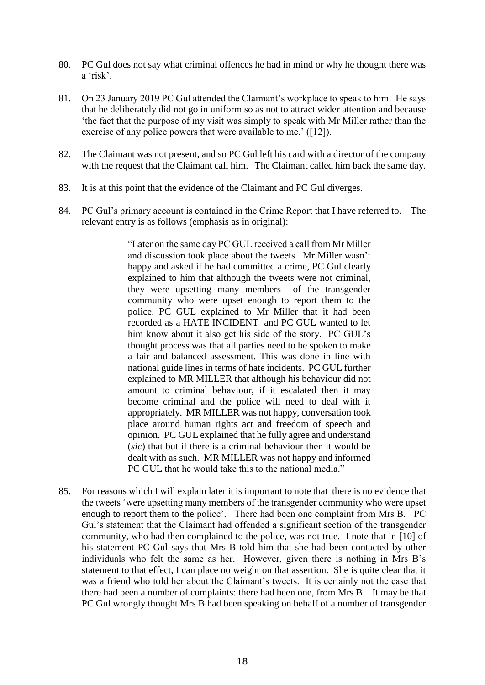- 80. PC Gul does not say what criminal offences he had in mind or why he thought there was a 'risk'.
- 81. On 23 January 2019 PC Gul attended the Claimant's workplace to speak to him. He says that he deliberately did not go in uniform so as not to attract wider attention and because 'the fact that the purpose of my visit was simply to speak with Mr Miller rather than the exercise of any police powers that were available to me.' ([12]).
- 82. The Claimant was not present, and so PC Gul left his card with a director of the company with the request that the Claimant call him. The Claimant called him back the same day.
- 83. It is at this point that the evidence of the Claimant and PC Gul diverges.
- 84. PC Gul's primary account is contained in the Crime Report that I have referred to. The relevant entry is as follows (emphasis as in original):

"Later on the same day PC GUL received a call from Mr Miller and discussion took place about the tweets. Mr Miller wasn't happy and asked if he had committed a crime, PC Gul clearly explained to him that although the tweets were not criminal, they were upsetting many members of the transgender community who were upset enough to report them to the police. PC GUL explained to Mr Miller that it had been recorded as a HATE INCIDENT and PC GUL wanted to let him know about it also get his side of the story. PC GUL's thought process was that all parties need to be spoken to make a fair and balanced assessment. This was done in line with national guide lines in terms of hate incidents. PC GUL further explained to MR MILLER that although his behaviour did not amount to criminal behaviour, if it escalated then it may become criminal and the police will need to deal with it appropriately. MR MILLER was not happy, conversation took place around human rights act and freedom of speech and opinion. PC GUL explained that he fully agree and understand (*sic*) that but if there is a criminal behaviour then it would be dealt with as such. MR MILLER was not happy and informed PC GUL that he would take this to the national media."

85. For reasons which I will explain later it is important to note that there is no evidence that the tweets 'were upsetting many members of the transgender community who were upset enough to report them to the police'. There had been one complaint from Mrs B. PC Gul's statement that the Claimant had offended a significant section of the transgender community, who had then complained to the police, was not true. I note that in [10] of his statement PC Gul says that Mrs B told him that she had been contacted by other individuals who felt the same as her. However, given there is nothing in Mrs B's statement to that effect, I can place no weight on that assertion. She is quite clear that it was a friend who told her about the Claimant's tweets. It is certainly not the case that there had been a number of complaints: there had been one, from Mrs B. It may be that PC Gul wrongly thought Mrs B had been speaking on behalf of a number of transgender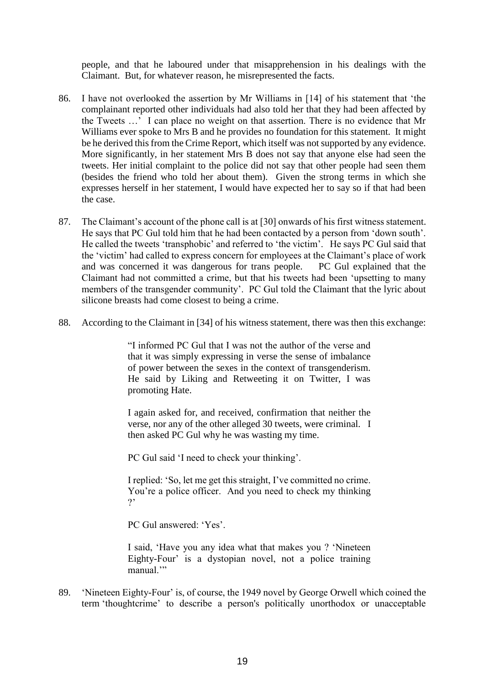people, and that he laboured under that misapprehension in his dealings with the Claimant. But, for whatever reason, he misrepresented the facts.

- 86. I have not overlooked the assertion by Mr Williams in [14] of his statement that 'the complainant reported other individuals had also told her that they had been affected by the Tweets …' I can place no weight on that assertion. There is no evidence that Mr Williams ever spoke to Mrs B and he provides no foundation for this statement. It might be he derived this from the Crime Report, which itself was not supported by any evidence. More significantly, in her statement Mrs B does not say that anyone else had seen the tweets. Her initial complaint to the police did not say that other people had seen them (besides the friend who told her about them). Given the strong terms in which she expresses herself in her statement, I would have expected her to say so if that had been the case.
- 87. The Claimant's account of the phone call is at [30] onwards of his first witness statement. He says that PC Gul told him that he had been contacted by a person from 'down south'. He called the tweets 'transphobic' and referred to 'the victim'. He says PC Gul said that the 'victim' had called to express concern for employees at the Claimant's place of work and was concerned it was dangerous for trans people. PC Gul explained that the Claimant had not committed a crime, but that his tweets had been 'upsetting to many members of the transgender community'. PC Gul told the Claimant that the lyric about silicone breasts had come closest to being a crime.
- 88. According to the Claimant in [34] of his witness statement, there was then this exchange:

"I informed PC Gul that I was not the author of the verse and that it was simply expressing in verse the sense of imbalance of power between the sexes in the context of transgenderism. He said by Liking and Retweeting it on Twitter, I was promoting Hate.

I again asked for, and received, confirmation that neither the verse, nor any of the other alleged 30 tweets, were criminal. I then asked PC Gul why he was wasting my time.

PC Gul said 'I need to check your thinking'.

I replied: 'So, let me get this straight, I've committed no crime. You're a police officer. And you need to check my thinking  $\gamma$ 

PC Gul answered: 'Yes'.

I said, 'Have you any idea what that makes you ? 'Nineteen Eighty-Four' is a dystopian novel, not a police training manual."

89. 'Nineteen Eighty-Four' is, of course, the 1949 novel by George Orwell which coined the term 'thoughtcrime' to describe a person's politically unorthodox or unacceptable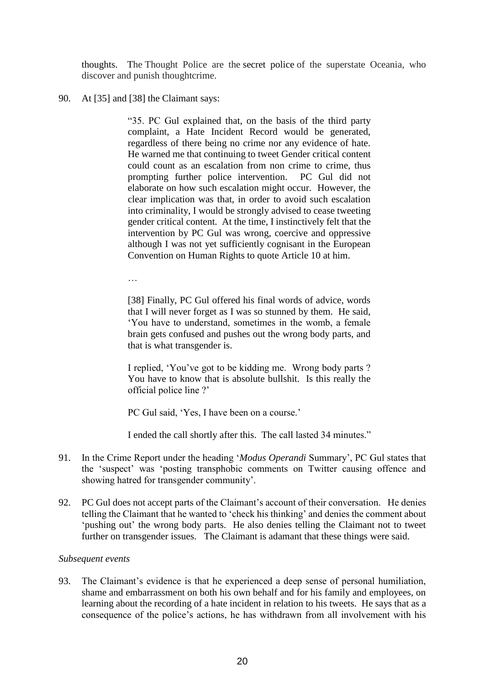thoughts. The Thought Police are the secret police of the superstate Oceania, who discover and punish thoughtcrime.

### 90. At [35] and [38] the Claimant says:

"35. PC Gul explained that, on the basis of the third party complaint, a Hate Incident Record would be generated, regardless of there being no crime nor any evidence of hate. He warned me that continuing to tweet Gender critical content could count as an escalation from non crime to crime, thus prompting further police intervention. PC Gul did not elaborate on how such escalation might occur. However, the clear implication was that, in order to avoid such escalation into criminality, I would be strongly advised to cease tweeting gender critical content. At the time, I instinctively felt that the intervention by PC Gul was wrong, coercive and oppressive although I was not yet sufficiently cognisant in the European Convention on Human Rights to quote Article 10 at him.

…

[38] Finally, PC Gul offered his final words of advice, words that I will never forget as I was so stunned by them. He said, 'You have to understand, sometimes in the womb, a female brain gets confused and pushes out the wrong body parts, and that is what transgender is.

I replied, 'You've got to be kidding me. Wrong body parts ? You have to know that is absolute bullshit. Is this really the official police line ?'

PC Gul said, 'Yes, I have been on a course.'

I ended the call shortly after this. The call lasted 34 minutes."

- 91. In the Crime Report under the heading '*Modus Operandi* Summary', PC Gul states that the 'suspect' was 'posting transphobic comments on Twitter causing offence and showing hatred for transgender community'.
- 92. PC Gul does not accept parts of the Claimant's account of their conversation. He denies telling the Claimant that he wanted to 'check his thinking' and denies the comment about 'pushing out' the wrong body parts. He also denies telling the Claimant not to tweet further on transgender issues. The Claimant is adamant that these things were said.

# *Subsequent events*

93. The Claimant's evidence is that he experienced a deep sense of personal humiliation, shame and embarrassment on both his own behalf and for his family and employees, on learning about the recording of a hate incident in relation to his tweets. He says that as a consequence of the police's actions, he has withdrawn from all involvement with his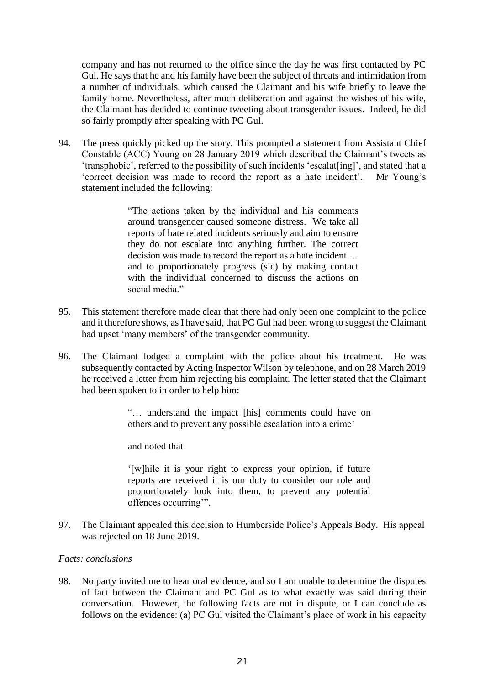company and has not returned to the office since the day he was first contacted by PC Gul. He says that he and his family have been the subject of threats and intimidation from a number of individuals, which caused the Claimant and his wife briefly to leave the family home. Nevertheless, after much deliberation and against the wishes of his wife, the Claimant has decided to continue tweeting about transgender issues. Indeed, he did so fairly promptly after speaking with PC Gul.

94. The press quickly picked up the story. This prompted a statement from Assistant Chief Constable (ACC) Young on 28 January 2019 which described the Claimant's tweets as 'transphobic', referred to the possibility of such incidents 'escalat[ing]', and stated that a 'correct decision was made to record the report as a hate incident'*.* Mr Young's statement included the following:

> "The actions taken by the individual and his comments around transgender caused someone distress. We take all reports of hate related incidents seriously and aim to ensure they do not escalate into anything further. The correct decision was made to record the report as a hate incident … and to proportionately progress (sic) by making contact with the individual concerned to discuss the actions on social media."

- 95. This statement therefore made clear that there had only been one complaint to the police and it therefore shows, as I have said, that PC Gul had been wrong to suggest the Claimant had upset 'many members' of the transgender community.
- 96. The Claimant lodged a complaint with the police about his treatment. He was subsequently contacted by Acting Inspector Wilson by telephone, and on 28 March 2019 he received a letter from him rejecting his complaint. The letter stated that the Claimant had been spoken to in order to help him:

"… understand the impact [his] comments could have on others and to prevent any possible escalation into a crime'

and noted that

'[w]hile it is your right to express your opinion, if future reports are received it is our duty to consider our role and proportionately look into them, to prevent any potential offences occurring'".

97. The Claimant appealed this decision to Humberside Police's Appeals Body. His appeal was rejected on 18 June 2019.

# *Facts: conclusions*

98. No party invited me to hear oral evidence, and so I am unable to determine the disputes of fact between the Claimant and PC Gul as to what exactly was said during their conversation. However, the following facts are not in dispute, or I can conclude as follows on the evidence: (a) PC Gul visited the Claimant's place of work in his capacity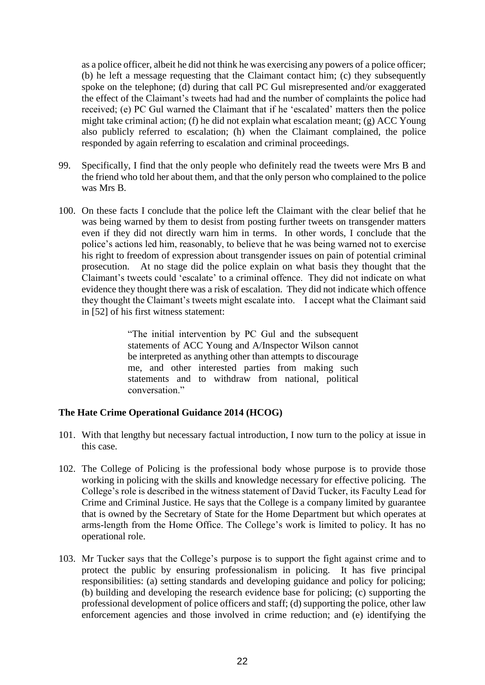as a police officer, albeit he did not think he was exercising any powers of a police officer; (b) he left a message requesting that the Claimant contact him; (c) they subsequently spoke on the telephone; (d) during that call PC Gul misrepresented and/or exaggerated the effect of the Claimant's tweets had had and the number of complaints the police had received; (e) PC Gul warned the Claimant that if he 'escalated' matters then the police might take criminal action; (f) he did not explain what escalation meant; (g) ACC Young also publicly referred to escalation; (h) when the Claimant complained, the police responded by again referring to escalation and criminal proceedings.

- 99. Specifically, I find that the only people who definitely read the tweets were Mrs B and the friend who told her about them, and that the only person who complained to the police was Mrs B.
- 100. On these facts I conclude that the police left the Claimant with the clear belief that he was being warned by them to desist from posting further tweets on transgender matters even if they did not directly warn him in terms. In other words, I conclude that the police's actions led him, reasonably, to believe that he was being warned not to exercise his right to freedom of expression about transgender issues on pain of potential criminal prosecution. At no stage did the police explain on what basis they thought that the Claimant's tweets could 'escalate' to a criminal offence. They did not indicate on what evidence they thought there was a risk of escalation. They did not indicate which offence they thought the Claimant's tweets might escalate into. I accept what the Claimant said in [52] of his first witness statement:

"The initial intervention by PC Gul and the subsequent statements of ACC Young and A/Inspector Wilson cannot be interpreted as anything other than attempts to discourage me, and other interested parties from making such statements and to withdraw from national, political conversation."

# **The Hate Crime Operational Guidance 2014 (HCOG)**

- 101. With that lengthy but necessary factual introduction, I now turn to the policy at issue in this case.
- 102. The College of Policing is the professional body whose purpose is to provide those working in policing with the skills and knowledge necessary for effective policing. The College's role is described in the witness statement of David Tucker, its Faculty Lead for Crime and Criminal Justice. He says that the College is a company limited by guarantee that is owned by the Secretary of State for the Home Department but which operates at arms-length from the Home Office. The College's work is limited to policy. It has no operational role.
- 103. Mr Tucker says that the College's purpose is to support the fight against crime and to protect the public by ensuring professionalism in policing. It has five principal responsibilities: (a) setting standards and developing guidance and policy for policing; (b) building and developing the research evidence base for policing; (c) supporting the professional development of police officers and staff; (d) supporting the police, other law enforcement agencies and those involved in crime reduction; and (e) identifying the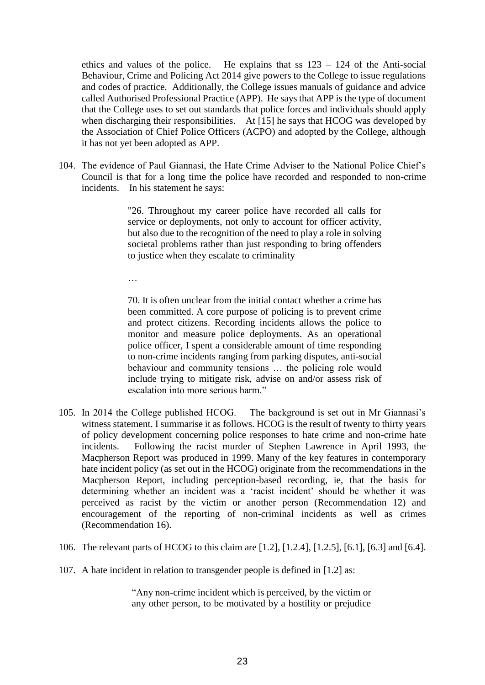ethics and values of the police. He explains that ss  $123 - 124$  of the Anti-social Behaviour, Crime and Policing Act 2014 give powers to the College to issue regulations and codes of practice. Additionally, the College issues manuals of guidance and advice called Authorised Professional Practice (APP). He says that APP is the type of document that the College uses to set out standards that police forces and individuals should apply when discharging their responsibilities. At [15] he says that HCOG was developed by the Association of Chief Police Officers (ACPO) and adopted by the College, although it has not yet been adopted as APP.

104. The evidence of Paul Giannasi, the Hate Crime Adviser to the National Police Chief's Council is that for a long time the police have recorded and responded to non-crime incidents. In his statement he says:

> "26. Throughout my career police have recorded all calls for service or deployments, not only to account for officer activity, but also due to the recognition of the need to play a role in solving societal problems rather than just responding to bring offenders to justice when they escalate to criminality

…

70. It is often unclear from the initial contact whether a crime has been committed. A core purpose of policing is to prevent crime and protect citizens. Recording incidents allows the police to monitor and measure police deployments. As an operational police officer, I spent a considerable amount of time responding to non-crime incidents ranging from parking disputes, anti-social behaviour and community tensions … the policing role would include trying to mitigate risk, advise on and/or assess risk of escalation into more serious harm."

- 105. In 2014 the College published HCOG. The background is set out in Mr Giannasi's witness statement. I summarise it as follows. HCOG is the result of twenty to thirty years of policy development concerning police responses to hate crime and non-crime hate incidents. Following the racist murder of Stephen Lawrence in April 1993, the Macpherson Report was produced in 1999. Many of the key features in contemporary hate incident policy (as set out in the HCOG) originate from the recommendations in the Macpherson Report, including perception-based recording, ie, that the basis for determining whether an incident was a 'racist incident' should be whether it was perceived as racist by the victim or another person (Recommendation 12) and encouragement of the reporting of non-criminal incidents as well as crimes (Recommendation 16).
- 106. The relevant parts of HCOG to this claim are [1.2], [1.2.4], [1.2.5], [6.1], [6.3] and [6.4].
- 107. A hate incident in relation to transgender people is defined in [1.2] as:

"Any non-crime incident which is perceived, by the victim or any other person, to be motivated by a hostility or prejudice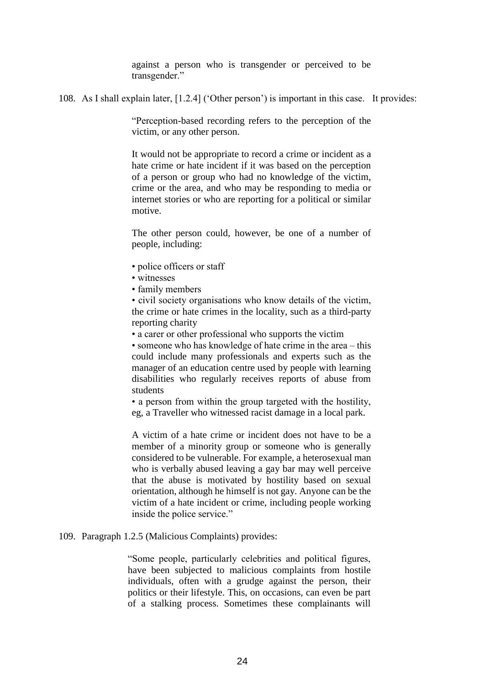against a person who is transgender or perceived to be transgender."

108. As I shall explain later, [1.2.4] ('Other person') is important in this case. It provides:

"Perception-based recording refers to the perception of the victim, or any other person.

It would not be appropriate to record a crime or incident as a hate crime or hate incident if it was based on the perception of a person or group who had no knowledge of the victim, crime or the area, and who may be responding to media or internet stories or who are reporting for a political or similar motive.

The other person could, however, be one of a number of people, including:

- police officers or staff
- witnesses
- family members

• civil society organisations who know details of the victim, the crime or hate crimes in the locality, such as a third-party reporting charity

• a carer or other professional who supports the victim

• someone who has knowledge of hate crime in the area – this could include many professionals and experts such as the manager of an education centre used by people with learning disabilities who regularly receives reports of abuse from students

• a person from within the group targeted with the hostility, eg, a Traveller who witnessed racist damage in a local park.

A victim of a hate crime or incident does not have to be a member of a minority group or someone who is generally considered to be vulnerable. For example, a heterosexual man who is verbally abused leaving a gay bar may well perceive that the abuse is motivated by hostility based on sexual orientation, although he himself is not gay. Anyone can be the victim of a hate incident or crime, including people working inside the police service."

#### 109. Paragraph 1.2.5 (Malicious Complaints) provides:

"Some people, particularly celebrities and political figures, have been subjected to malicious complaints from hostile individuals, often with a grudge against the person, their politics or their lifestyle. This, on occasions, can even be part of a stalking process. Sometimes these complainants will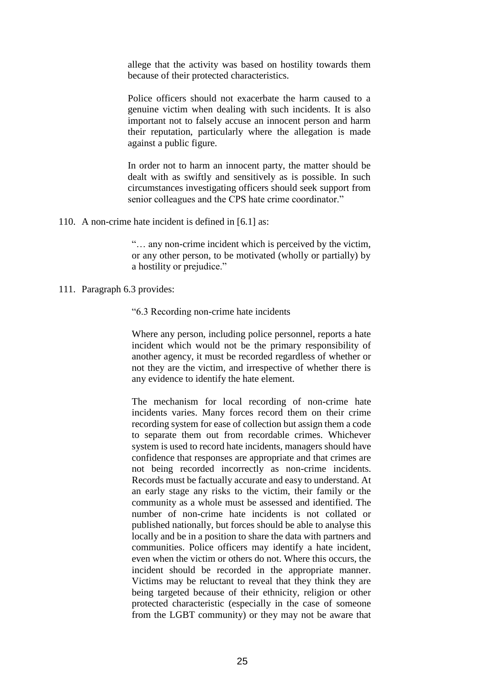allege that the activity was based on hostility towards them because of their protected characteristics.

Police officers should not exacerbate the harm caused to a genuine victim when dealing with such incidents. It is also important not to falsely accuse an innocent person and harm their reputation, particularly where the allegation is made against a public figure.

In order not to harm an innocent party, the matter should be dealt with as swiftly and sensitively as is possible. In such circumstances investigating officers should seek support from senior colleagues and the CPS hate crime coordinator."

110. A non-crime hate incident is defined in [6.1] as:

"… any non-crime incident which is perceived by the victim, or any other person, to be motivated (wholly or partially) by a hostility or prejudice."

111. Paragraph 6.3 provides:

"6.3 Recording non-crime hate incidents

Where any person, including police personnel, reports a hate incident which would not be the primary responsibility of another agency, it must be recorded regardless of whether or not they are the victim, and irrespective of whether there is any evidence to identify the hate element.

The mechanism for local recording of non-crime hate incidents varies. Many forces record them on their crime recording system for ease of collection but assign them a code to separate them out from recordable crimes. Whichever system is used to record hate incidents, managers should have confidence that responses are appropriate and that crimes are not being recorded incorrectly as non-crime incidents. Records must be factually accurate and easy to understand. At an early stage any risks to the victim, their family or the community as a whole must be assessed and identified. The number of non-crime hate incidents is not collated or published nationally, but forces should be able to analyse this locally and be in a position to share the data with partners and communities. Police officers may identify a hate incident, even when the victim or others do not. Where this occurs, the incident should be recorded in the appropriate manner. Victims may be reluctant to reveal that they think they are being targeted because of their ethnicity, religion or other protected characteristic (especially in the case of someone from the LGBT community) or they may not be aware that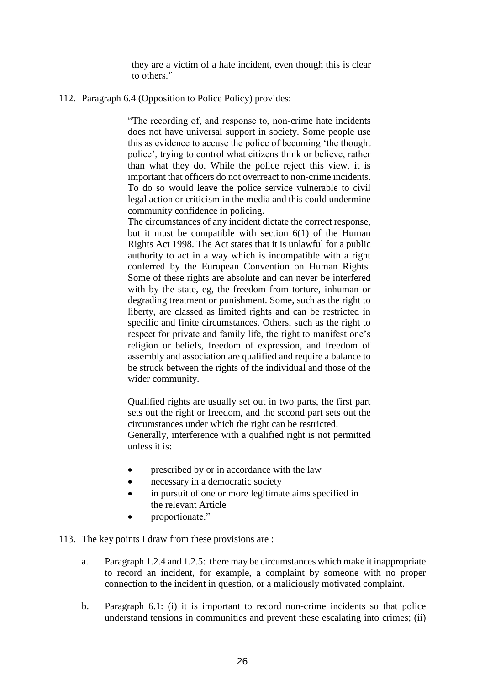they are a victim of a hate incident, even though this is clear to others."

112. Paragraph 6.4 (Opposition to Police Policy) provides:

"The recording of, and response to, non-crime hate incidents does not have universal support in society. Some people use this as evidence to accuse the police of becoming 'the thought police', trying to control what citizens think or believe, rather than what they do. While the police reject this view, it is important that officers do not overreact to non-crime incidents. To do so would leave the police service vulnerable to civil legal action or criticism in the media and this could undermine community confidence in policing.

The circumstances of any incident dictate the correct response, but it must be compatible with section 6(1) of the Human Rights Act 1998. The Act states that it is unlawful for a public authority to act in a way which is incompatible with a right conferred by the European Convention on Human Rights. Some of these rights are absolute and can never be interfered with by the state, eg, the freedom from torture, inhuman or degrading treatment or punishment. Some, such as the right to liberty, are classed as limited rights and can be restricted in specific and finite circumstances. Others, such as the right to respect for private and family life, the right to manifest one's religion or beliefs, freedom of expression, and freedom of assembly and association are qualified and require a balance to be struck between the rights of the individual and those of the wider community.

Qualified rights are usually set out in two parts, the first part sets out the right or freedom, and the second part sets out the circumstances under which the right can be restricted. Generally, interference with a qualified right is not permitted unless it is:

- prescribed by or in accordance with the law
- necessary in a democratic society
- in pursuit of one or more legitimate aims specified in the relevant Article
- proportionate."
- 113. The key points I draw from these provisions are :
	- a. Paragraph 1.2.4 and 1.2.5: there may be circumstances which make it inappropriate to record an incident, for example, a complaint by someone with no proper connection to the incident in question, or a maliciously motivated complaint.
	- b. Paragraph 6.1: (i) it is important to record non-crime incidents so that police understand tensions in communities and prevent these escalating into crimes; (ii)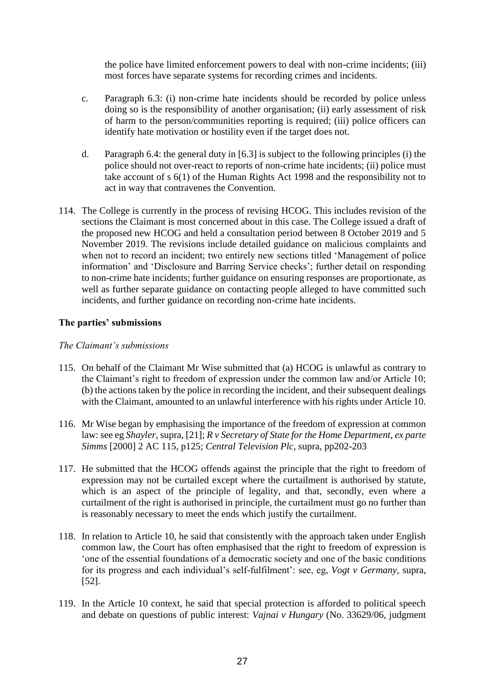the police have limited enforcement powers to deal with non-crime incidents; (iii) most forces have separate systems for recording crimes and incidents.

- c. Paragraph 6.3: (i) non-crime hate incidents should be recorded by police unless doing so is the responsibility of another organisation; (ii) early assessment of risk of harm to the person/communities reporting is required; (iii) police officers can identify hate motivation or hostility even if the target does not.
- d. Paragraph 6.4: the general duty in [6.3] is subject to the following principles (i) the police should not over-react to reports of non-crime hate incidents; (ii) police must take account of s 6(1) of the Human Rights Act 1998 and the responsibility not to act in way that contravenes the Convention.
- 114. The College is currently in the process of revising HCOG. This includes revision of the sections the Claimant is most concerned about in this case. The College issued a draft of the proposed new HCOG and held a consultation period between 8 October 2019 and 5 November 2019. The revisions include detailed guidance on malicious complaints and when not to record an incident; two entirely new sections titled 'Management of police information' and 'Disclosure and Barring Service checks'; further detail on responding to non-crime hate incidents; further guidance on ensuring responses are proportionate, as well as further separate guidance on contacting people alleged to have committed such incidents, and further guidance on recording non-crime hate incidents.

# **The parties' submissions**

# *The Claimant's submissions*

- 115. On behalf of the Claimant Mr Wise submitted that (a) HCOG is unlawful as contrary to the Claimant's right to freedom of expression under the common law and/or Article 10; (b) the actions taken by the police in recording the incident, and their subsequent dealings with the Claimant, amounted to an unlawful interference with his rights under Article 10.
- 116. Mr Wise began by emphasising the importance of the freedom of expression at common law: see eg *Shayler*, supra, [21]; *R v Secretary of State for the Home Department, ex parte Simms* [2000] 2 AC 115, p125; *Central Television Plc*, supra, pp202-203
- 117. He submitted that the HCOG offends against the principle that the right to freedom of expression may not be curtailed except where the curtailment is authorised by statute, which is an aspect of the principle of legality, and that, secondly, even where a curtailment of the right is authorised in principle, the curtailment must go no further than is reasonably necessary to meet the ends which justify the curtailment.
- 118. In relation to Article 10, he said that consistently with the approach taken under English common law, the Court has often emphasised that the right to freedom of expression is 'one of the essential foundations of a democratic society and one of the basic conditions for its progress and each individual's self-fulfilment': see, eg, *Vogt v Germany*, supra, [52].
- 119. In the Article 10 context, he said that special protection is afforded to political speech and debate on questions of public interest: *Vajnai v Hungary* (No. 33629/06, judgment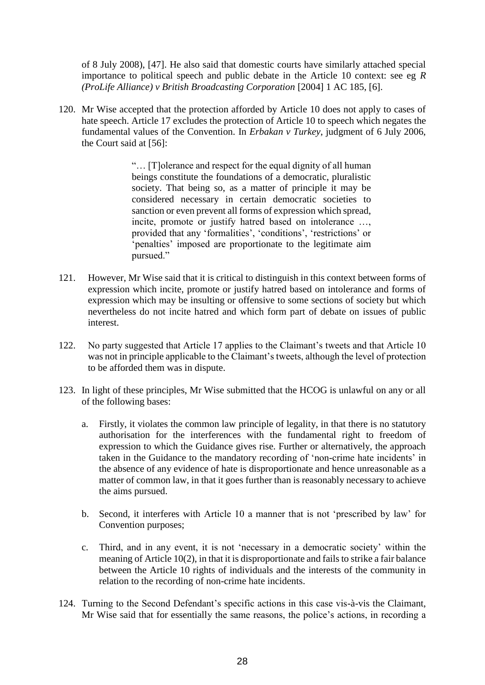of 8 July 2008), [47]. He also said that domestic courts have similarly attached special importance to political speech and public debate in the Article 10 context: see eg *R (ProLife Alliance) v British Broadcasting Corporation* [2004] 1 AC 185, [6].

120. Mr Wise accepted that the protection afforded by Article 10 does not apply to cases of hate speech. Article 17 excludes the protection of Article 10 to speech which negates the fundamental values of the Convention. In *Erbakan v Turkey*, judgment of 6 July 2006, the Court said at [56]:

> "… [T]olerance and respect for the equal dignity of all human beings constitute the foundations of a democratic, pluralistic society. That being so, as a matter of principle it may be considered necessary in certain democratic societies to sanction or even prevent all forms of expression which spread, incite, promote or justify hatred based on intolerance …, provided that any 'formalities', 'conditions', 'restrictions' or 'penalties' imposed are proportionate to the legitimate aim pursued."

- 121. However, Mr Wise said that it is critical to distinguish in this context between forms of expression which incite, promote or justify hatred based on intolerance and forms of expression which may be insulting or offensive to some sections of society but which nevertheless do not incite hatred and which form part of debate on issues of public interest.
- 122. No party suggested that Article 17 applies to the Claimant's tweets and that Article 10 was not in principle applicable to the Claimant's tweets, although the level of protection to be afforded them was in dispute.
- 123. In light of these principles, Mr Wise submitted that the HCOG is unlawful on any or all of the following bases:
	- a. Firstly, it violates the common law principle of legality, in that there is no statutory authorisation for the interferences with the fundamental right to freedom of expression to which the Guidance gives rise. Further or alternatively, the approach taken in the Guidance to the mandatory recording of 'non-crime hate incidents' in the absence of any evidence of hate is disproportionate and hence unreasonable as a matter of common law, in that it goes further than is reasonably necessary to achieve the aims pursued.
	- b. Second, it interferes with Article 10 a manner that is not 'prescribed by law' for Convention purposes;
	- c. Third, and in any event, it is not 'necessary in a democratic society' within the meaning of Article 10(2), in that it is disproportionate and fails to strike a fair balance between the Article 10 rights of individuals and the interests of the community in relation to the recording of non-crime hate incidents.
- 124. Turning to the Second Defendant's specific actions in this case vis-à-vis the Claimant, Mr Wise said that for essentially the same reasons, the police's actions, in recording a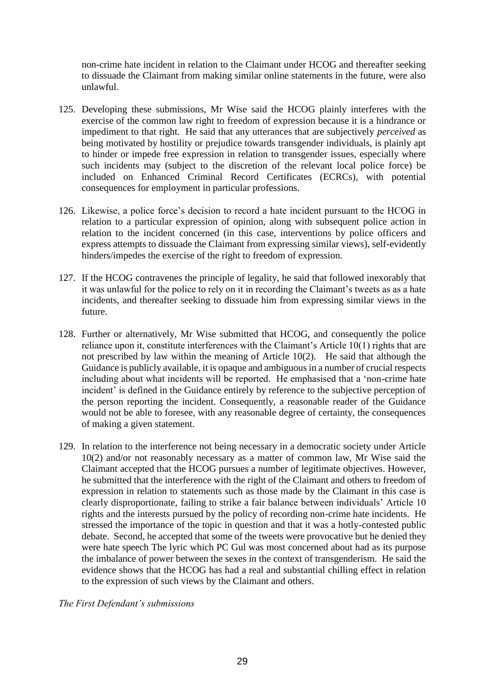non-crime hate incident in relation to the Claimant under HCOG and thereafter seeking to dissuade the Claimant from making similar online statements in the future, were also unlawful.

- 125. Developing these submissions, Mr Wise said the HCOG plainly interferes with the exercise of the common law right to freedom of expression because it is a hindrance or impediment to that right. He said that any utterances that are subjectively *perceived* as being motivated by hostility or prejudice towards transgender individuals, is plainly apt to hinder or impede free expression in relation to transgender issues, especially where such incidents may (subject to the discretion of the relevant local police force) be included on Enhanced Criminal Record Certificates (ECRCs), with potential consequences for employment in particular professions.
- 126. Likewise, a police force's decision to record a hate incident pursuant to the HCOG in relation to a particular expression of opinion, along with subsequent police action in relation to the incident concerned (in this case, interventions by police officers and express attempts to dissuade the Claimant from expressing similar views), self-evidently hinders/impedes the exercise of the right to freedom of expression.
- 127. If the HCOG contravenes the principle of legality, he said that followed inexorably that it was unlawful for the police to rely on it in recording the Claimant's tweets as as a hate incidents, and thereafter seeking to dissuade him from expressing similar views in the future.
- 128. Further or alternatively, Mr Wise submitted that HCOG, and consequently the police reliance upon it, constitute interferences with the Claimant's Article 10(1) rights that are not prescribed by law within the meaning of Article 10(2). He said that although the Guidance is publicly available, it is opaque and ambiguous in a number of crucial respects including about what incidents will be reported. He emphasised that a 'non-crime hate incident' is defined in the Guidance entirely by reference to the subjective perception of the person reporting the incident. Consequently, a reasonable reader of the Guidance would not be able to foresee, with any reasonable degree of certainty, the consequences of making a given statement.
- 129. In relation to the interference not being necessary in a democratic society under Article 10(2) and/or not reasonably necessary as a matter of common law, Mr Wise said the Claimant accepted that the HCOG pursues a number of legitimate objectives. However, he submitted that the interference with the right of the Claimant and others to freedom of expression in relation to statements such as those made by the Claimant in this case is clearly disproportionate, failing to strike a fair balance between individuals' Article 10 rights and the interests pursued by the policy of recording non-crime hate incidents. He stressed the importance of the topic in question and that it was a hotly-contested public debate. Second, he accepted that some of the tweets were provocative but he denied they were hate speech The lyric which PC Gul was most concerned about had as its purpose the imbalance of power between the sexes in the context of transgenderism. He said the evidence shows that the HCOG has had a real and substantial chilling effect in relation to the expression of such views by the Claimant and others.

*The First Defendant's submissions*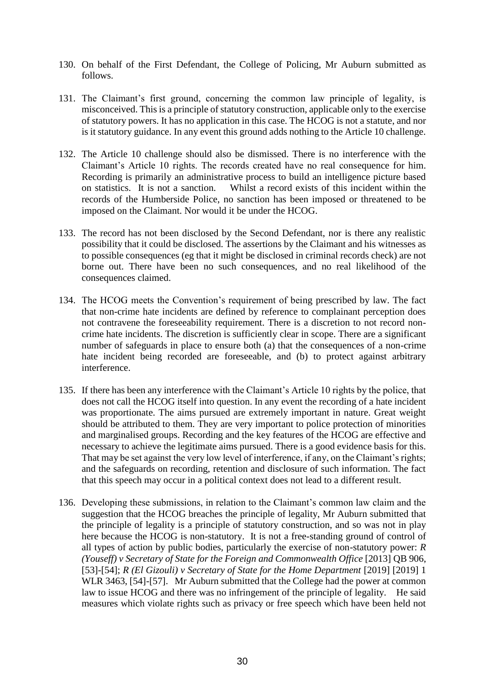- 130. On behalf of the First Defendant, the College of Policing, Mr Auburn submitted as follows.
- 131. The Claimant's first ground, concerning the common law principle of legality, is misconceived. This is a principle of statutory construction, applicable only to the exercise of statutory powers. It has no application in this case. The HCOG is not a statute, and nor is it statutory guidance. In any event this ground adds nothing to the Article 10 challenge.
- 132. The Article 10 challenge should also be dismissed. There is no interference with the Claimant's Article 10 rights. The records created have no real consequence for him. Recording is primarily an administrative process to build an intelligence picture based on statistics. It is not a sanction. Whilst a record exists of this incident within the records of the Humberside Police, no sanction has been imposed or threatened to be imposed on the Claimant. Nor would it be under the HCOG.
- 133. The record has not been disclosed by the Second Defendant, nor is there any realistic possibility that it could be disclosed. The assertions by the Claimant and his witnesses as to possible consequences (eg that it might be disclosed in criminal records check) are not borne out. There have been no such consequences, and no real likelihood of the consequences claimed.
- 134. The HCOG meets the Convention's requirement of being prescribed by law. The fact that non-crime hate incidents are defined by reference to complainant perception does not contravene the foreseeability requirement. There is a discretion to not record noncrime hate incidents. The discretion is sufficiently clear in scope. There are a significant number of safeguards in place to ensure both (a) that the consequences of a non-crime hate incident being recorded are foreseeable, and (b) to protect against arbitrary interference.
- 135. If there has been any interference with the Claimant's Article 10 rights by the police, that does not call the HCOG itself into question. In any event the recording of a hate incident was proportionate. The aims pursued are extremely important in nature. Great weight should be attributed to them. They are very important to police protection of minorities and marginalised groups. Recording and the key features of the HCOG are effective and necessary to achieve the legitimate aims pursued. There is a good evidence basis for this. That may be set against the very low level of interference, if any, on the Claimant's rights; and the safeguards on recording, retention and disclosure of such information. The fact that this speech may occur in a political context does not lead to a different result.
- 136. Developing these submissions, in relation to the Claimant's common law claim and the suggestion that the HCOG breaches the principle of legality, Mr Auburn submitted that the principle of legality is a principle of statutory construction, and so was not in play here because the HCOG is non-statutory. It is not a free-standing ground of control of all types of action by public bodies, particularly the exercise of non-statutory power: *R (Youseff) v Secretary of State for the Foreign and Commonwealth Office* [2013] QB 906, [53]-[54]; *R (El Gizouli) v Secretary of State for the Home Department* [2019] [2019] 1 WLR 3463, [54]-[57]. Mr Auburn submitted that the College had the power at common law to issue HCOG and there was no infringement of the principle of legality. He said measures which violate rights such as privacy or free speech which have been held not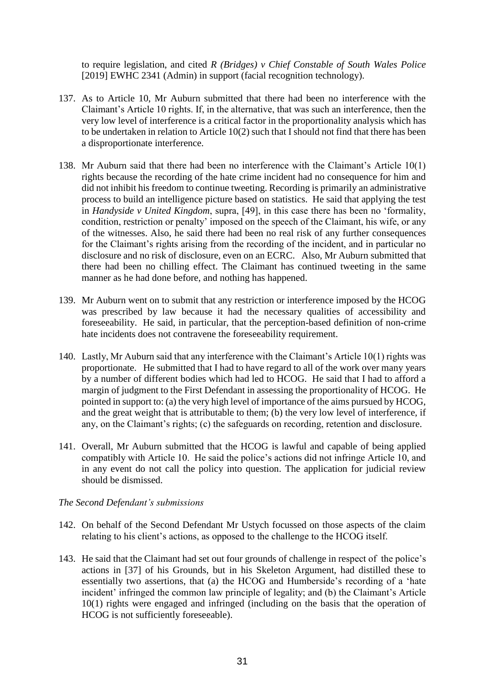to require legislation, and cited *R (Bridges) v Chief Constable of South Wales Police*  [2019] EWHC 2341 (Admin) in support (facial recognition technology).

- 137. As to Article 10, Mr Auburn submitted that there had been no interference with the Claimant's Article 10 rights. If, in the alternative, that was such an interference, then the very low level of interference is a critical factor in the proportionality analysis which has to be undertaken in relation to Article 10(2) such that I should not find that there has been a disproportionate interference.
- 138. Mr Auburn said that there had been no interference with the Claimant's Article 10(1) rights because the recording of the hate crime incident had no consequence for him and did not inhibit his freedom to continue tweeting. Recording is primarily an administrative process to build an intelligence picture based on statistics. He said that applying the test in *Handyside v United Kingdom*, supra, [49], in this case there has been no 'formality, condition, restriction or penalty' imposed on the speech of the Claimant, his wife, or any of the witnesses. Also, he said there had been no real risk of any further consequences for the Claimant's rights arising from the recording of the incident, and in particular no disclosure and no risk of disclosure, even on an ECRC. Also, Mr Auburn submitted that there had been no chilling effect. The Claimant has continued tweeting in the same manner as he had done before, and nothing has happened.
- 139. Mr Auburn went on to submit that any restriction or interference imposed by the HCOG was prescribed by law because it had the necessary qualities of accessibility and foreseeability. He said, in particular, that the perception-based definition of non-crime hate incidents does not contravene the foreseeability requirement.
- 140. Lastly, Mr Auburn said that any interference with the Claimant's Article 10(1) rights was proportionate. He submitted that I had to have regard to all of the work over many years by a number of different bodies which had led to HCOG. He said that I had to afford a margin of judgment to the First Defendant in assessing the proportionality of HCOG. He pointed in support to: (a) the very high level of importance of the aims pursued by HCOG, and the great weight that is attributable to them; (b) the very low level of interference, if any, on the Claimant's rights; (c) the safeguards on recording, retention and disclosure.
- 141. Overall, Mr Auburn submitted that the HCOG is lawful and capable of being applied compatibly with Article 10. He said the police's actions did not infringe Article 10, and in any event do not call the policy into question. The application for judicial review should be dismissed.

# *The Second Defendant's submissions*

- 142. On behalf of the Second Defendant Mr Ustych focussed on those aspects of the claim relating to his client's actions, as opposed to the challenge to the HCOG itself.
- 143. He said that the Claimant had set out four grounds of challenge in respect of the police's actions in [37] of his Grounds, but in his Skeleton Argument, had distilled these to essentially two assertions, that (a) the HCOG and Humberside's recording of a 'hate incident' infringed the common law principle of legality; and (b) the Claimant's Article 10(1) rights were engaged and infringed (including on the basis that the operation of HCOG is not sufficiently foreseeable).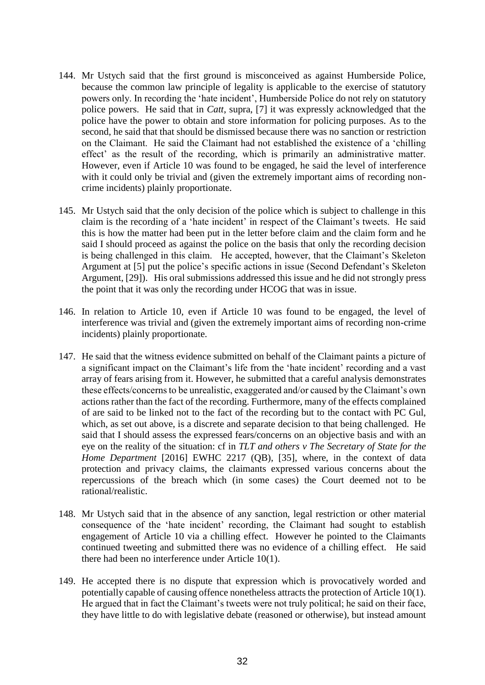- 144. Mr Ustych said that the first ground is misconceived as against Humberside Police, because the common law principle of legality is applicable to the exercise of statutory powers only. In recording the 'hate incident', Humberside Police do not rely on statutory police powers. He said that in *Catt*, supra, [7] it was expressly acknowledged that the police have the power to obtain and store information for policing purposes. As to the second, he said that that should be dismissed because there was no sanction or restriction on the Claimant. He said the Claimant had not established the existence of a 'chilling effect' as the result of the recording, which is primarily an administrative matter. However, even if Article 10 was found to be engaged, he said the level of interference with it could only be trivial and (given the extremely important aims of recording noncrime incidents) plainly proportionate.
- 145. Mr Ustych said that the only decision of the police which is subject to challenge in this claim is the recording of a 'hate incident' in respect of the Claimant's tweets. He said this is how the matter had been put in the letter before claim and the claim form and he said I should proceed as against the police on the basis that only the recording decision is being challenged in this claim. He accepted, however, that the Claimant's Skeleton Argument at [5] put the police's specific actions in issue (Second Defendant's Skeleton Argument, [29]). His oral submissions addressed this issue and he did not strongly press the point that it was only the recording under HCOG that was in issue.
- 146. In relation to Article 10, even if Article 10 was found to be engaged, the level of interference was trivial and (given the extremely important aims of recording non-crime incidents) plainly proportionate.
- 147. He said that the witness evidence submitted on behalf of the Claimant paints a picture of a significant impact on the Claimant's life from the 'hate incident' recording and a vast array of fears arising from it. However, he submitted that a careful analysis demonstrates these effects/concerns to be unrealistic, exaggerated and/or caused by the Claimant's own actions rather than the fact of the recording. Furthermore, many of the effects complained of are said to be linked not to the fact of the recording but to the contact with PC Gul, which, as set out above, is a discrete and separate decision to that being challenged. He said that I should assess the expressed fears/concerns on an objective basis and with an eye on the reality of the situation: cf in *TLT and others v The Secretary of State for the Home Department* [2016] EWHC 2217 (QB), [35], where, in the context of data protection and privacy claims, the claimants expressed various concerns about the repercussions of the breach which (in some cases) the Court deemed not to be rational/realistic.
- 148. Mr Ustych said that in the absence of any sanction, legal restriction or other material consequence of the 'hate incident' recording, the Claimant had sought to establish engagement of Article 10 via a chilling effect. However he pointed to the Claimants continued tweeting and submitted there was no evidence of a chilling effect. He said there had been no interference under Article 10(1).
- 149. He accepted there is no dispute that expression which is provocatively worded and potentially capable of causing offence nonetheless attracts the protection of Article 10(1). He argued that in fact the Claimant's tweets were not truly political; he said on their face, they have little to do with legislative debate (reasoned or otherwise), but instead amount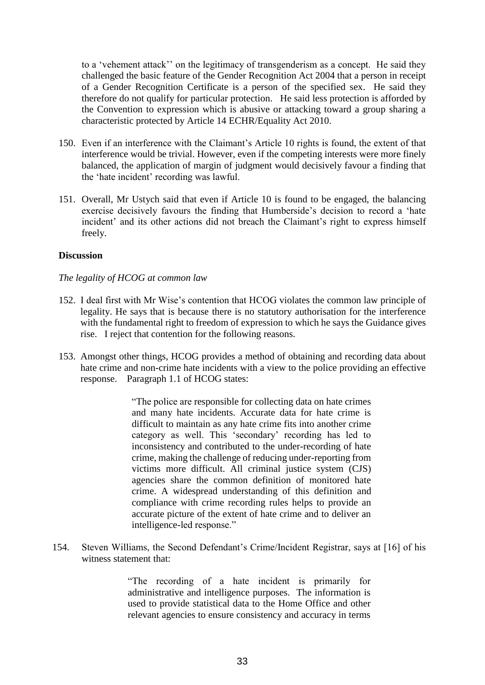to a 'vehement attack'' on the legitimacy of transgenderism as a concept. He said they challenged the basic feature of the Gender Recognition Act 2004 that a person in receipt of a Gender Recognition Certificate is a person of the specified sex. He said they therefore do not qualify for particular protection. He said less protection is afforded by the Convention to expression which is abusive or attacking toward a group sharing a characteristic protected by Article 14 ECHR/Equality Act 2010.

- 150. Even if an interference with the Claimant's Article 10 rights is found, the extent of that interference would be trivial. However, even if the competing interests were more finely balanced, the application of margin of judgment would decisively favour a finding that the 'hate incident' recording was lawful.
- 151. Overall, Mr Ustych said that even if Article 10 is found to be engaged, the balancing exercise decisively favours the finding that Humberside's decision to record a 'hate incident' and its other actions did not breach the Claimant's right to express himself freely.

# **Discussion**

### *The legality of HCOG at common law*

- 152. I deal first with Mr Wise's contention that HCOG violates the common law principle of legality. He says that is because there is no statutory authorisation for the interference with the fundamental right to freedom of expression to which he says the Guidance gives rise. I reject that contention for the following reasons.
- 153. Amongst other things, HCOG provides a method of obtaining and recording data about hate crime and non-crime hate incidents with a view to the police providing an effective response. Paragraph 1.1 of HCOG states:

"The police are responsible for collecting data on hate crimes and many hate incidents. Accurate data for hate crime is difficult to maintain as any hate crime fits into another crime category as well. This 'secondary' recording has led to inconsistency and contributed to the under-recording of hate crime, making the challenge of reducing under-reporting from victims more difficult. All criminal justice system (CJS) agencies share the common definition of monitored hate crime. A widespread understanding of this definition and compliance with crime recording rules helps to provide an accurate picture of the extent of hate crime and to deliver an intelligence-led response."

154. Steven Williams, the Second Defendant's Crime/Incident Registrar, says at [16] of his witness statement that:

> "The recording of a hate incident is primarily for administrative and intelligence purposes. The information is used to provide statistical data to the Home Office and other relevant agencies to ensure consistency and accuracy in terms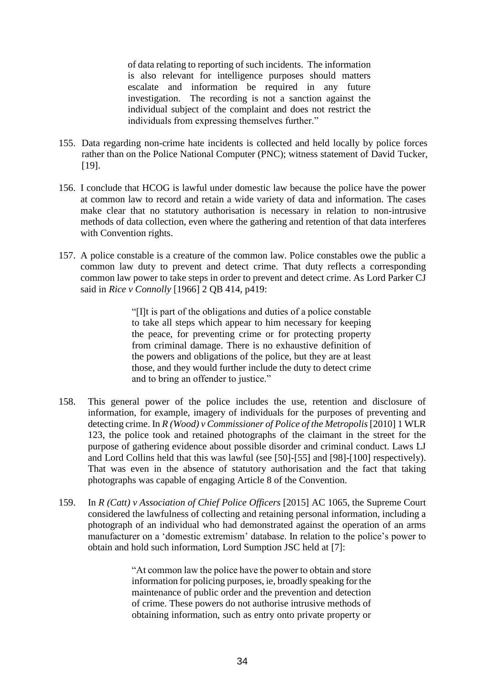of data relating to reporting of such incidents. The information is also relevant for intelligence purposes should matters escalate and information be required in any future investigation. The recording is not a sanction against the individual subject of the complaint and does not restrict the individuals from expressing themselves further."

- 155. Data regarding non-crime hate incidents is collected and held locally by police forces rather than on the Police National Computer (PNC); witness statement of David Tucker, [19].
- 156. I conclude that HCOG is lawful under domestic law because the police have the power at common law to record and retain a wide variety of data and information. The cases make clear that no statutory authorisation is necessary in relation to non-intrusive methods of data collection, even where the gathering and retention of that data interferes with Convention rights.
- 157. A police constable is a creature of the common law. Police constables owe the public a common law duty to prevent and detect crime. That duty reflects a corresponding common law power to take steps in order to prevent and detect crime. As Lord Parker CJ said in *Rice v Connolly* [1966] 2 QB 414, p419:

"[I]t is part of the obligations and duties of a police constable to take all steps which appear to him necessary for keeping the peace, for preventing crime or for protecting property from criminal damage. There is no exhaustive definition of the powers and obligations of the police, but they are at least those, and they would further include the duty to detect crime and to bring an offender to justice."

- 158. This general power of the police includes the use, retention and disclosure of information, for example, imagery of individuals for the purposes of preventing and detecting crime. In *R (Wood) v Commissioner of Police of the Metropolis* [2010] 1 WLR 123, the police took and retained photographs of the claimant in the street for the purpose of gathering evidence about possible disorder and criminal conduct. Laws LJ and Lord Collins held that this was lawful (see [50]-[55] and [98]-[100] respectively). That was even in the absence of statutory authorisation and the fact that taking photographs was capable of engaging Article 8 of the Convention.
- 159. In *R (Catt) v Association of Chief Police Officers* [2015] AC 1065, the Supreme Court considered the lawfulness of collecting and retaining personal information, including a photograph of an individual who had demonstrated against the operation of an arms manufacturer on a 'domestic extremism' database. In relation to the police's power to obtain and hold such information, Lord Sumption JSC held at [7]:

"At common law the police have the power to obtain and store information for policing purposes, ie, broadly speaking for the maintenance of public order and the prevention and detection of crime. These powers do not authorise intrusive methods of obtaining information, such as entry onto private property or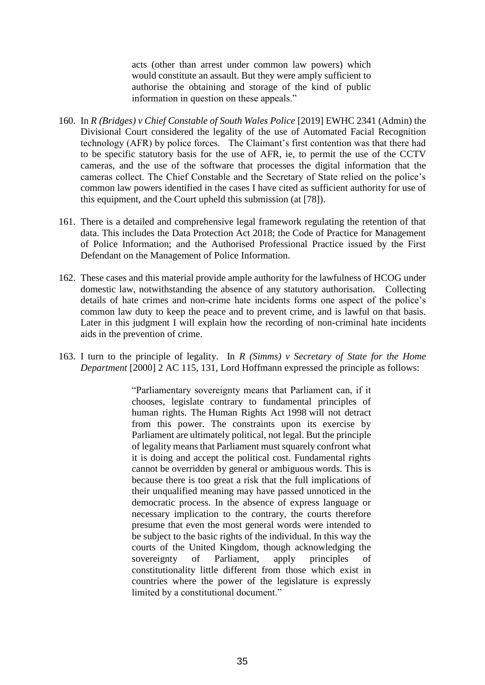acts (other than arrest under common law powers) which would constitute an assault. But they were amply sufficient to authorise the obtaining and storage of the kind of public information in question on these appeals."

- 160. In *R (Bridges) v Chief Constable of South Wales Police* [2019] EWHC 2341 (Admin) the Divisional Court considered the legality of the use of Automated Facial Recognition technology (AFR) by police forces. The Claimant's first contention was that there had to be specific statutory basis for the use of AFR, ie, to permit the use of the CCTV cameras, and the use of the software that processes the digital information that the cameras collect. The Chief Constable and the Secretary of State relied on the police's common law powers identified in the cases I have cited as sufficient authority for use of this equipment, and the Court upheld this submission (at [78]).
- 161. There is a detailed and comprehensive legal framework regulating the retention of that data. This includes the Data Protection Act 2018; the Code of Practice for Management of Police Information; and the Authorised Professional Practice issued by the First Defendant on the Management of Police Information.
- 162. These cases and this material provide ample authority for the lawfulness of HCOG under domestic law, notwithstanding the absence of any statutory authorisation. Collecting details of hate crimes and non-crime hate incidents forms one aspect of the police's common law duty to keep the peace and to prevent crime, and is lawful on that basis. Later in this judgment I will explain how the recording of non-criminal hate incidents aids in the prevention of crime.
- 163. I turn to the principle of legality. In *R (Simms) v Secretary of State for the Home Department* [2000] 2 AC 115, 131, Lord Hoffmann expressed the principle as follows:

"Parliamentary sovereignty means that Parliament can, if it chooses, legislate contrary to fundamental principles of human rights. The Human Rights Act 1998 will not detract from this power. The constraints upon its exercise by Parliament are ultimately political, not legal. But the principle of legality means that Parliament must squarely confront what it is doing and accept the political cost. Fundamental rights cannot be overridden by general or ambiguous words. This is because there is too great a risk that the full implications of their unqualified meaning may have passed unnoticed in the democratic process. In the absence of express language or necessary implication to the contrary, the courts therefore presume that even the most general words were intended to be subject to the basic rights of the individual. In this way the courts of the United Kingdom, though acknowledging the sovereignty of Parliament, apply principles of constitutionality little different from those which exist in countries where the power of the legislature is expressly limited by a constitutional document."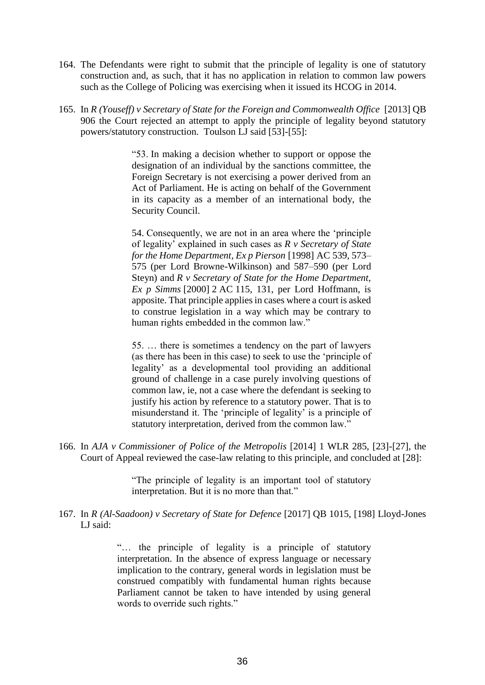- 164. The Defendants were right to submit that the principle of legality is one of statutory construction and, as such, that it has no application in relation to common law powers such as the College of Policing was exercising when it issued its HCOG in 2014.
- 165. In *R (Youseff) v Secretary of State for the Foreign and Commonwealth Office* [2013] QB 906 the Court rejected an attempt to apply the principle of legality beyond statutory powers/statutory construction. Toulson LJ said [53]-[55]:

"53. In making a decision whether to support or oppose the designation of an individual by the sanctions committee, the Foreign Secretary is not exercising a power derived from an Act of Parliament. He is acting on behalf of the Government in its capacity as a member of an international body, the Security Council.

54. Consequently, we are not in an area where the 'principle of legality' explained in such cases as *R v Secretary of State for the Home Department, Ex p Pierson* [1998] AC 539, 573– 575 (per Lord Browne-Wilkinson) and 587–590 (per Lord Steyn) and *R v Secretary of State for the Home Department, Ex p Simms* [2000] 2 AC 115, 131, per Lord Hoffmann, is apposite. That principle applies in cases where a court is asked to construe legislation in a way which may be contrary to human rights embedded in the common law."

55. … there is sometimes a tendency on the part of lawyers (as there has been in this case) to seek to use the 'principle of legality' as a developmental tool providing an additional ground of challenge in a case purely involving questions of common law, ie, not a case where the defendant is seeking to justify his action by reference to a statutory power. That is to misunderstand it. The 'principle of legality' is a principle of statutory interpretation, derived from the common law."

166. In *AJA v Commissioner of Police of the Metropolis* [2014] 1 WLR 285, [23]-[27], the Court of Appeal reviewed the case-law relating to this principle, and concluded at [28]:

> "The principle of legality is an important tool of statutory interpretation. But it is no more than that."

167. In *R (Al-Saadoon) v Secretary of State for Defence* [2017] QB 1015, [198] Lloyd-Jones LJ said:

> "… the principle of legality is a principle of statutory interpretation. In the absence of express language or necessary implication to the contrary, general words in legislation must be construed compatibly with fundamental human rights because Parliament cannot be taken to have intended by using general words to override such rights."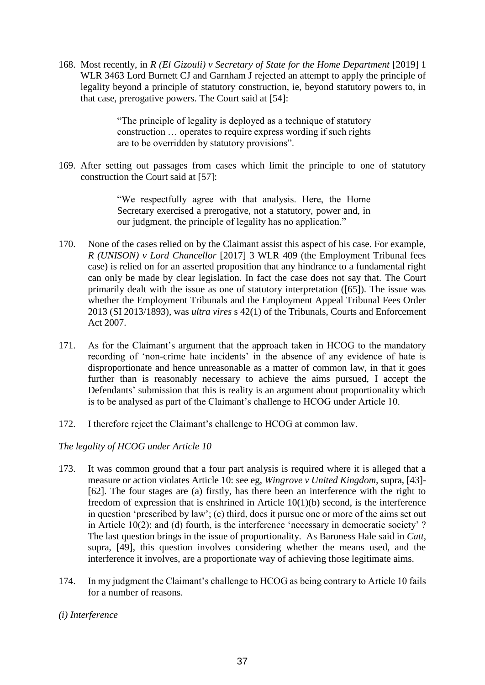168. Most recently, in *R (El Gizouli) v Secretary of State for the Home Department* [2019] 1 WLR 3463 Lord Burnett CJ and Garnham J rejected an attempt to apply the principle of legality beyond a principle of statutory construction, ie, beyond statutory powers to, in that case, prerogative powers. The Court said at [54]:

> "The principle of legality is deployed as a technique of statutory construction … operates to require express wording if such rights are to be overridden by statutory provisions".

169. After setting out passages from cases which limit the principle to one of statutory construction the Court said at [57]:

> "We respectfully agree with that analysis. Here, the Home Secretary exercised a prerogative, not a statutory, power and, in our judgment, the principle of legality has no application."

- 170. None of the cases relied on by the Claimant assist this aspect of his case. For example, *R (UNISON) v Lord Chancellor* [2017] 3 WLR 409 (the Employment Tribunal fees case) is relied on for an asserted proposition that any hindrance to a fundamental right can only be made by clear legislation. In fact the case does not say that. The Court primarily dealt with the issue as one of statutory interpretation ([65]). The issue was whether the Employment Tribunals and the Employment Appeal Tribunal Fees Order 2013 (SI 2013/1893), was *ultra vires* s 42(1) of the Tribunals, Courts and Enforcement Act 2007.
- 171. As for the Claimant's argument that the approach taken in HCOG to the mandatory recording of 'non-crime hate incidents' in the absence of any evidence of hate is disproportionate and hence unreasonable as a matter of common law, in that it goes further than is reasonably necessary to achieve the aims pursued, I accept the Defendants' submission that this is reality is an argument about proportionality which is to be analysed as part of the Claimant's challenge to HCOG under Article 10.
- 172. I therefore reject the Claimant's challenge to HCOG at common law.

# *The legality of HCOG under Article 10*

- 173. It was common ground that a four part analysis is required where it is alleged that a measure or action violates Article 10: see eg, *Wingrove v United Kingdom,* supra, [43]- [62]. The four stages are (a) firstly, has there been an interference with the right to freedom of expression that is enshrined in Article 10(1)(b) second, is the interference in question 'prescribed by law'; (c) third, does it pursue one or more of the aims set out in Article 10(2); and (d) fourth, is the interference 'necessary in democratic society' ? The last question brings in the issue of proportionality. As Baroness Hale said in *Catt*, supra, [49], this question involves considering whether the means used, and the interference it involves, are a proportionate way of achieving those legitimate aims.
- 174. In my judgment the Claimant's challenge to HCOG as being contrary to Article 10 fails for a number of reasons.
- *(i) Interference*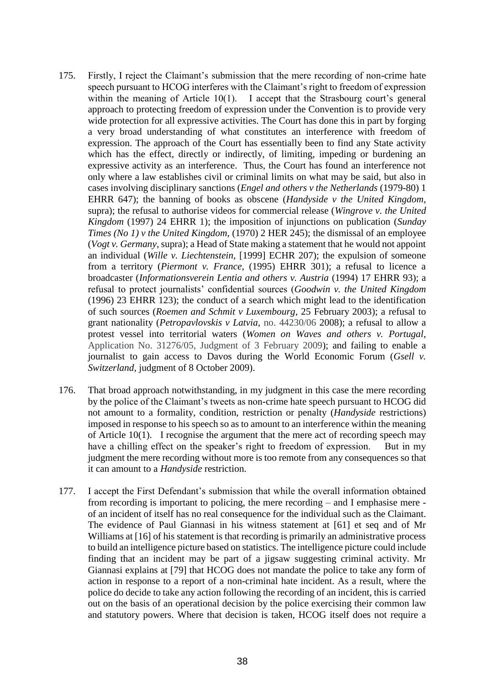- 175. Firstly, I reject the Claimant's submission that the mere recording of non-crime hate speech pursuant to HCOG interferes with the Claimant's right to freedom of expression within the meaning of Article  $10(1)$ . I accept that the Strasbourg court's general approach to protecting freedom of expression under the Convention is to provide very wide protection for all expressive activities. The Court has done this in part by forging a very broad understanding of what constitutes an interference with freedom of expression. The approach of the Court has essentially been to find any State activity which has the effect, directly or indirectly, of limiting, impeding or burdening an expressive activity as an interference. Thus, the Court has found an interference not only where a law establishes civil or criminal limits on what may be said, but also in cases involving disciplinary sanctions (*Engel and others v the Netherlands* (1979-80) 1 EHRR 647); the banning of books as obscene (*Handyside v the United Kingdom*, supra); the refusal to authorise videos for commercial release (*Wingrove v. the United Kingdom* (1997) 24 EHRR 1); the imposition of injunctions on publication (*Sunday Times (No 1) v the United Kingdom*, (1970) 2 HER 245); the dismissal of an employee (*Vogt v. Germany*, supra); a Head of State making a statement that he would not appoint an individual (*Wille v. Liechtenstein*, [1999] ECHR 207); the expulsion of someone from a territory (*Piermont v. France*, (1995) EHRR 301); a refusal to licence a broadcaster (*Informationsverein Lentia and others v. Austria* (1994) 17 EHRR 93); a refusal to protect journalists' confidential sources (*Goodwin v. the United Kingdom*  (1996) 23 EHRR 123); the conduct of a search which might lead to the identification of such sources (*Roemen and Schmit v Luxembourg*, 25 February 2003); a refusal to grant nationality (*Petropavlovskis v Latvia*, no. 44230/06 2008); a refusal to allow a protest vessel into territorial waters (*Women on Waves and others v. Portugal*, Application No. 31276/05, Judgment of 3 February 2009); and failing to enable a journalist to gain access to Davos during the World Economic Forum (*Gsell v. Switzerland,* judgment of 8 October 2009).
- 176. That broad approach notwithstanding, in my judgment in this case the mere recording by the police of the Claimant's tweets as non-crime hate speech pursuant to HCOG did not amount to a formality, condition, restriction or penalty (*Handyside* restrictions) imposed in response to his speech so as to amount to an interference within the meaning of Article 10(1). I recognise the argument that the mere act of recording speech may have a chilling effect on the speaker's right to freedom of expression. But in my judgment the mere recording without more is too remote from any consequences so that it can amount to a *Handyside* restriction.
- 177. I accept the First Defendant's submission that while the overall information obtained from recording is important to policing, the mere recording – and I emphasise mere of an incident of itself has no real consequence for the individual such as the Claimant. The evidence of Paul Giannasi in his witness statement at [61] et seq and of Mr Williams at [16] of his statement is that recording is primarily an administrative process to build an intelligence picture based on statistics. The intelligence picture could include finding that an incident may be part of a jigsaw suggesting criminal activity. Mr Giannasi explains at [79] that HCOG does not mandate the police to take any form of action in response to a report of a non-criminal hate incident. As a result, where the police do decide to take any action following the recording of an incident, this is carried out on the basis of an operational decision by the police exercising their common law and statutory powers. Where that decision is taken, HCOG itself does not require a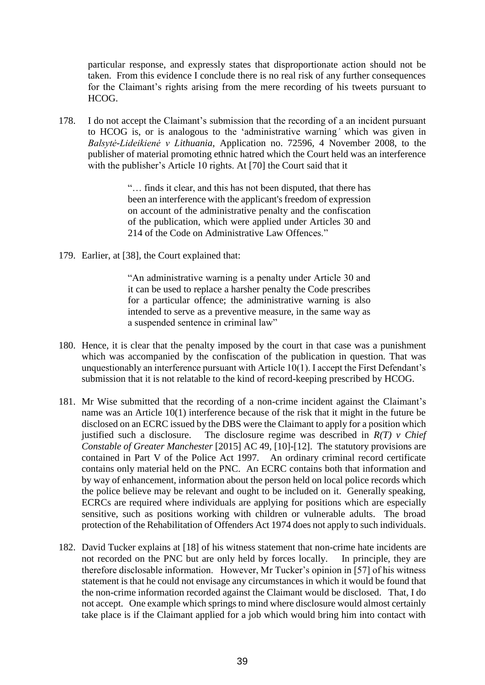particular response, and expressly states that disproportionate action should not be taken. From this evidence I conclude there is no real risk of any further consequences for the Claimant's rights arising from the mere recording of his tweets pursuant to HCOG.

178. I do not accept the Claimant's submission that the recording of a an incident pursuant to HCOG is, or is analogous to the 'administrative warning*'* which was given in *Balsytė-Lideikienė v Lithuania,* Application no. 72596, 4 November 2008, to the publisher of material promoting ethnic hatred which the Court held was an interference with the publisher's Article 10 rights. At [70] the Court said that it

> "… finds it clear, and this has not been disputed, that there has been an interference with the applicant's freedom of expression on account of the administrative penalty and the confiscation of the publication, which were applied under Articles 30 and 214 of the Code on Administrative Law Offences."

179. Earlier, at [38], the Court explained that:

"An administrative warning is a penalty under Article 30 and it can be used to replace a harsher penalty the Code prescribes for a particular offence; the administrative warning is also intended to serve as a preventive measure, in the same way as a suspended sentence in criminal law"

- 180. Hence, it is clear that the penalty imposed by the court in that case was a punishment which was accompanied by the confiscation of the publication in question. That was unquestionably an interference pursuant with Article 10(1). I accept the First Defendant's submission that it is not relatable to the kind of record-keeping prescribed by HCOG.
- 181. Mr Wise submitted that the recording of a non-crime incident against the Claimant's name was an Article 10(1) interference because of the risk that it might in the future be disclosed on an ECRC issued by the DBS were the Claimant to apply for a position which justified such a disclosure. The disclosure regime was described in *R(T) v Chief Constable of Greater Manchester* [2015] AC 49, [10]-[12]. The statutory provisions are contained in Part V of the Police Act 1997. An ordinary criminal record certificate contains only material held on the PNC. An ECRC contains both that information and by way of enhancement, information about the person held on local police records which the police believe may be relevant and ought to be included on it. Generally speaking, ECRCs are required where individuals are applying for positions which are especially sensitive, such as positions working with children or vulnerable adults. The broad protection of the Rehabilitation of Offenders Act 1974 does not apply to such individuals.
- 182. David Tucker explains at [18] of his witness statement that non-crime hate incidents are not recorded on the PNC but are only held by forces locally. In principle, they are therefore disclosable information. However, Mr Tucker's opinion in [57] of his witness statement is that he could not envisage any circumstances in which it would be found that the non-crime information recorded against the Claimant would be disclosed. That, I do not accept. One example which springs to mind where disclosure would almost certainly take place is if the Claimant applied for a job which would bring him into contact with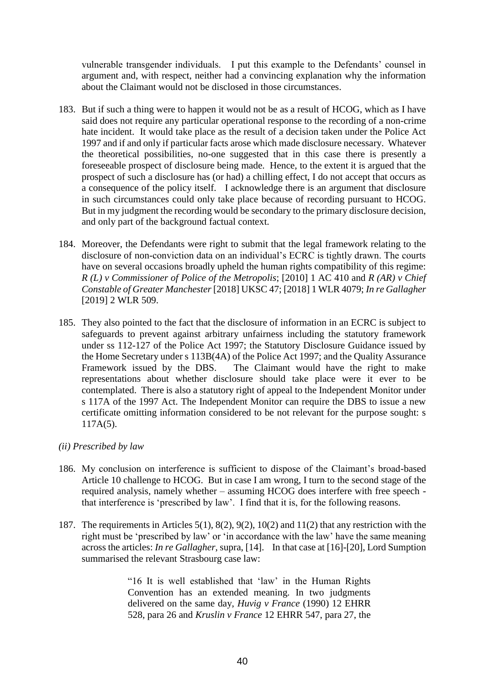vulnerable transgender individuals. I put this example to the Defendants' counsel in argument and, with respect, neither had a convincing explanation why the information about the Claimant would not be disclosed in those circumstances.

- 183. But if such a thing were to happen it would not be as a result of HCOG, which as I have said does not require any particular operational response to the recording of a non-crime hate incident. It would take place as the result of a decision taken under the Police Act 1997 and if and only if particular facts arose which made disclosure necessary. Whatever the theoretical possibilities, no-one suggested that in this case there is presently a foreseeable prospect of disclosure being made. Hence, to the extent it is argued that the prospect of such a disclosure has (or had) a chilling effect, I do not accept that occurs as a consequence of the policy itself. I acknowledge there is an argument that disclosure in such circumstances could only take place because of recording pursuant to HCOG. But in my judgment the recording would be secondary to the primary disclosure decision, and only part of the background factual context.
- 184. Moreover, the Defendants were right to submit that the legal framework relating to the disclosure of non-conviction data on an individual's ECRC is tightly drawn. The courts have on several occasions broadly upheld the human rights compatibility of this regime: *R (L) v Commissioner of Police of the Metropolis*; [2010] 1 AC 410 and *R (AR) v Chief Constable of Greater Manchester* [2018] UKSC 47; [2018] 1 WLR 4079; *In re Gallagher* [2019] 2 WLR 509.
- 185. They also pointed to the fact that the disclosure of information in an ECRC is subject to safeguards to prevent against arbitrary unfairness including the statutory framework under ss 112-127 of the Police Act 1997; the Statutory Disclosure Guidance issued by the Home Secretary under s 113B(4A) of the Police Act 1997; and the Quality Assurance Framework issued by the DBS. The Claimant would have the right to make representations about whether disclosure should take place were it ever to be contemplated. There is also a statutory right of appeal to the Independent Monitor under s 117A of the 1997 Act. The Independent Monitor can require the DBS to issue a new certificate omitting information considered to be not relevant for the purpose sought: s 117A(5).
- *(ii) Prescribed by law*
- 186. My conclusion on interference is sufficient to dispose of the Claimant's broad-based Article 10 challenge to HCOG. But in case I am wrong, I turn to the second stage of the required analysis, namely whether – assuming HCOG does interfere with free speech that interference is 'prescribed by law'. I find that it is, for the following reasons.
- 187. The requirements in Articles 5(1), 8(2), 9(2), 10(2) and 11(2) that any restriction with the right must be 'prescribed by law' or 'in accordance with the law' have the same meaning across the articles: *In re Gallagher*, supra, [14]. In that case at [16]-[20], Lord Sumption summarised the relevant Strasbourg case law:

"16 It is well established that 'law' in the Human Rights Convention has an extended meaning. In two judgments delivered on the same day, *Huvig v France* (1990) 12 EHRR 528, para 26 and *Kruslin v France* 12 EHRR 547, para 27, the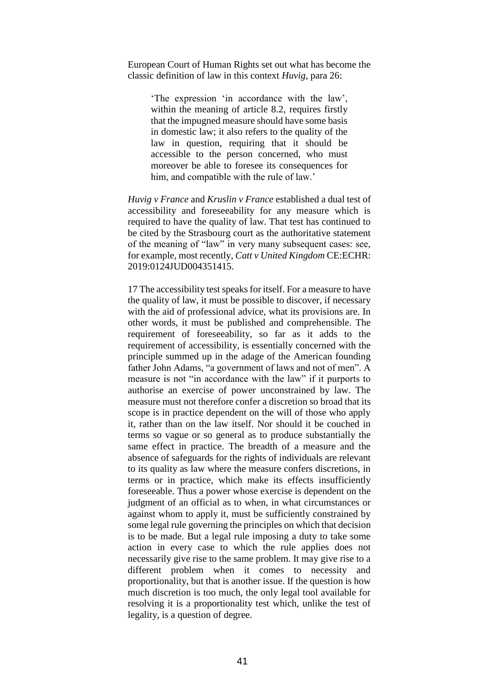European Court of Human Rights set out what has become the classic definition of law in this context *Huvig*, para 26:

'The expression 'in accordance with the law', within the meaning of article 8.2, requires firstly that the impugned measure should have some basis in domestic law; it also refers to the quality of the law in question, requiring that it should be accessible to the person concerned, who must moreover be able to foresee its consequences for him, and compatible with the rule of law.'

*Huvig v France* and *Kruslin v France* established a dual test of accessibility and foreseeability for any measure which is required to have the quality of law. That test has continued to be cited by the Strasbourg court as the authoritative statement of the meaning of "law" in very many subsequent cases: see, for example, most recently, *Catt v United Kingdom* CE:ECHR: 2019:0124JUD004351415.

17 The accessibility test speaks for itself. For a measure to have the quality of law, it must be possible to discover, if necessary with the aid of professional advice, what its provisions are. In other words, it must be published and comprehensible. The requirement of foreseeability, so far as it adds to the requirement of accessibility, is essentially concerned with the principle summed up in the adage of the American founding father John Adams, "a government of laws and not of men". A measure is not "in accordance with the law" if it purports to authorise an exercise of power unconstrained by law. The measure must not therefore confer a discretion so broad that its scope is in practice dependent on the will of those who apply it, rather than on the law itself. Nor should it be couched in terms so vague or so general as to produce substantially the same effect in practice. The breadth of a measure and the absence of safeguards for the rights of individuals are relevant to its quality as law where the measure confers discretions, in terms or in practice, which make its effects insufficiently foreseeable. Thus a power whose exercise is dependent on the judgment of an official as to when, in what circumstances or against whom to apply it, must be sufficiently constrained by some legal rule governing the principles on which that decision is to be made. But a legal rule imposing a duty to take some action in every case to which the rule applies does not necessarily give rise to the same problem. It may give rise to a different problem when it comes to necessity and proportionality, but that is another issue. If the question is how much discretion is too much, the only legal tool available for resolving it is a proportionality test which, unlike the test of legality, is a question of degree.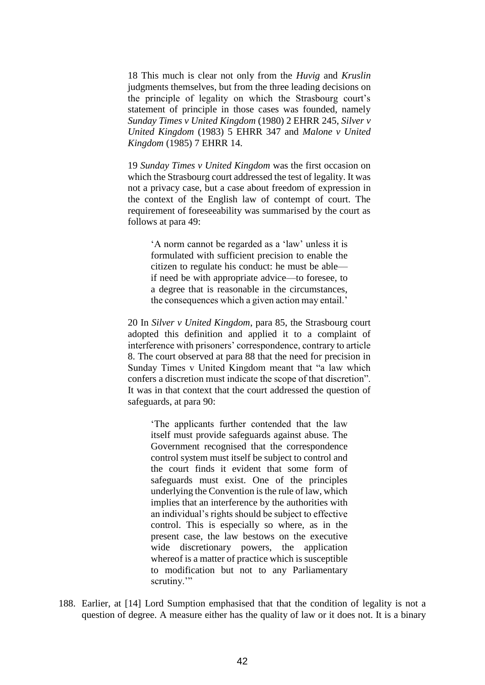18 This much is clear not only from the *Huvig* and *Kruslin* judgments themselves, but from the three leading decisions on the principle of legality on which the Strasbourg court's statement of principle in those cases was founded, namely *Sunday Times v United Kingdom* (1980) 2 EHRR 245, *Silver v United Kingdom* (1983) 5 EHRR 347 and *Malone v United Kingdom* (1985) 7 EHRR 14.

19 *Sunday Times v United Kingdom* was the first occasion on which the Strasbourg court addressed the test of legality. It was not a privacy case, but a case about freedom of expression in the context of the English law of contempt of court. The requirement of foreseeability was summarised by the court as follows at para 49:

'A norm cannot be regarded as a 'law' unless it is formulated with sufficient precision to enable the citizen to regulate his conduct: he must be able if need be with appropriate advice—to foresee, to a degree that is reasonable in the circumstances, the consequences which a given action may entail.'

20 In *Silver v United Kingdom*, para 85, the Strasbourg court adopted this definition and applied it to a complaint of interference with prisoners' correspondence, contrary to article 8. The court observed at para 88 that the need for precision in Sunday Times v United Kingdom meant that "a law which confers a discretion must indicate the scope of that discretion". It was in that context that the court addressed the question of safeguards, at para 90:

'The applicants further contended that the law itself must provide safeguards against abuse. The Government recognised that the correspondence control system must itself be subject to control and the court finds it evident that some form of safeguards must exist. One of the principles underlying the Convention is the rule of law, which implies that an interference by the authorities with an individual's rights should be subject to effective control. This is especially so where, as in the present case, the law bestows on the executive wide discretionary powers, the application whereof is a matter of practice which is susceptible to modification but not to any Parliamentary scrutiny."

188. Earlier, at [14] Lord Sumption emphasised that that the condition of legality is not a question of degree. A measure either has the quality of law or it does not. It is a binary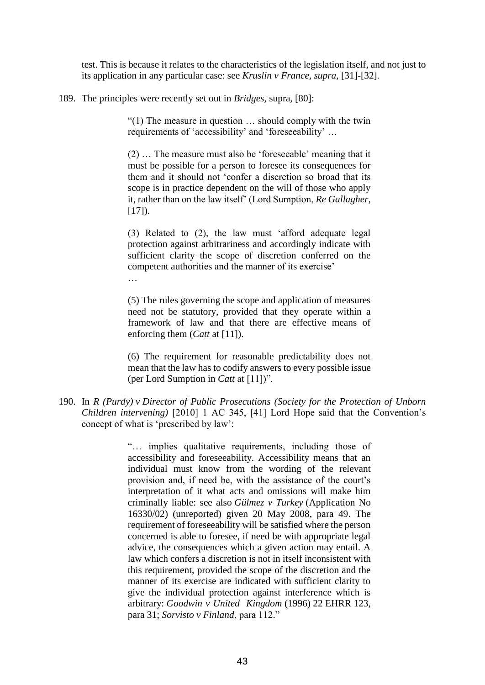test. This is because it relates to the characteristics of the legislation itself, and not just to its application in any particular case: see *[Kruslin v France, supra,](https://www.iclr.co.uk/document/2016000883/casereport_de683c79-20b5-4998-b731-7d29fe92d47d/html?query=&filter=&fullSearchFields=pubref%3A%22%5B2019%5D+2+WLR+509%22&page=1&sort=relevance&pageSize=10&caseName=&court=&catchwords=&judge=&text=&fromDate=&toDate=&courts=&publicationReference=%5b2019%5d%202%20WLR%20509#CR11)* [31]-[32].

189. The principles were recently set out in *Bridges,* supra*,* [80]:

…

"(1) The measure in question … should comply with the twin requirements of 'accessibility' and 'foreseeability' …

(2) … The measure must also be 'foreseeable' meaning that it must be possible for a person to foresee its consequences for them and it should not 'confer a discretion so broad that its scope is in practice dependent on the will of those who apply it, rather than on the law itself' (Lord Sumption, *Re Gallagher*,  $[17]$ .

(3) Related to (2), the law must 'afford adequate legal protection against arbitrariness and accordingly indicate with sufficient clarity the scope of discretion conferred on the competent authorities and the manner of its exercise'

(5) The rules governing the scope and application of measures need not be statutory, provided that they operate within a framework of law and that there are effective means of enforcing them (*Catt* at [11]).

(6) The requirement for reasonable predictability does not mean that the law has to codify answers to every possible issue (per Lord Sumption in *Catt* at [11])".

190. In *R (Purdy) v Director of Public Prosecutions (Society for the Protection of Unborn Children intervening)* [2010] 1 AC 345, [41] Lord Hope said that the Convention's concept of what is 'prescribed by law':

> "… implies qualitative requirements, including those of accessibility and foreseeability. Accessibility means that an individual must know from the wording of the relevant provision and, if need be, with the assistance of the court's interpretation of it what acts and omissions will make him criminally liable: see also *Gülmez v Turkey* (Application No 16330/02) (unreported) given 20 May 2008, para 49. The requirement of foreseeability will be satisfied where the person concerned is able to foresee, if need be with appropriate legal advice, the consequences which a given action may entail. A law which confers a discretion is not in itself inconsistent with this requirement, provided the scope of the discretion and the manner of its exercise are indicated with sufficient clarity to give the individual protection against interference which is arbitrary: *Goodwin v United Kingdom* (1996) 22 EHRR 123, para 31; *Sorvisto v Finland*, para 112."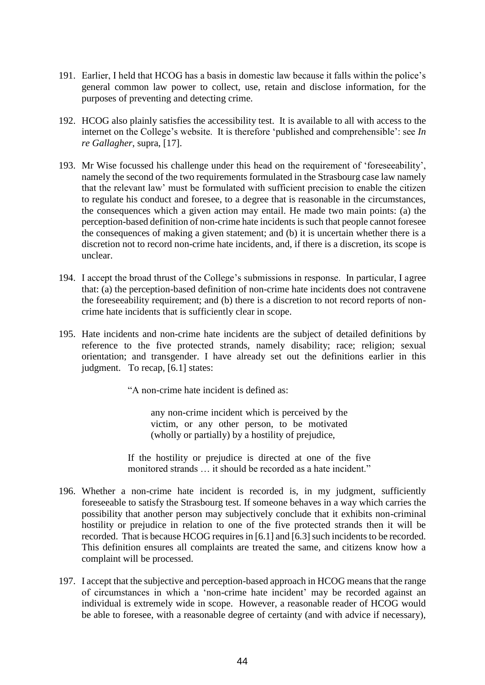- 191. Earlier, I held that HCOG has a basis in domestic law because it falls within the police's general common law power to collect, use, retain and disclose information, for the purposes of preventing and detecting crime.
- 192. HCOG also plainly satisfies the accessibility test. It is available to all with access to the internet on the College's website. It is therefore 'published and comprehensible': see *In re Gallagher*, supra, [17].
- 193. Mr Wise focussed his challenge under this head on the requirement of 'foreseeability', namely the second of the two requirements formulated in the Strasbourg case law namely that the relevant law' must be formulated with sufficient precision to enable the citizen to regulate his conduct and foresee, to a degree that is reasonable in the circumstances, the consequences which a given action may entail. He made two main points: (a) the perception-based definition of non-crime hate incidents is such that people cannot foresee the consequences of making a given statement; and (b) it is uncertain whether there is a discretion not to record non-crime hate incidents, and, if there is a discretion, its scope is unclear.
- 194. I accept the broad thrust of the College's submissions in response. In particular, I agree that: (a) the perception-based definition of non-crime hate incidents does not contravene the foreseeability requirement; and (b) there is a discretion to not record reports of noncrime hate incidents that is sufficiently clear in scope.
- 195. Hate incidents and non-crime hate incidents are the subject of detailed definitions by reference to the five protected strands, namely disability; race; religion; sexual orientation; and transgender. I have already set out the definitions earlier in this judgment. To recap, [6.1] states:

"A non-crime hate incident is defined as:

any non-crime incident which is perceived by the victim, or any other person, to be motivated (wholly or partially) by a hostility of prejudice,

If the hostility or prejudice is directed at one of the five monitored strands … it should be recorded as a hate incident."

- 196. Whether a non-crime hate incident is recorded is, in my judgment, sufficiently foreseeable to satisfy the Strasbourg test. If someone behaves in a way which carries the possibility that another person may subjectively conclude that it exhibits non-criminal hostility or prejudice in relation to one of the five protected strands then it will be recorded. That is because HCOG requires in [6.1] and [6.3] such incidents to be recorded. This definition ensures all complaints are treated the same, and citizens know how a complaint will be processed.
- 197. I accept that the subjective and perception-based approach in HCOG means that the range of circumstances in which a 'non-crime hate incident' may be recorded against an individual is extremely wide in scope. However, a reasonable reader of HCOG would be able to foresee, with a reasonable degree of certainty (and with advice if necessary),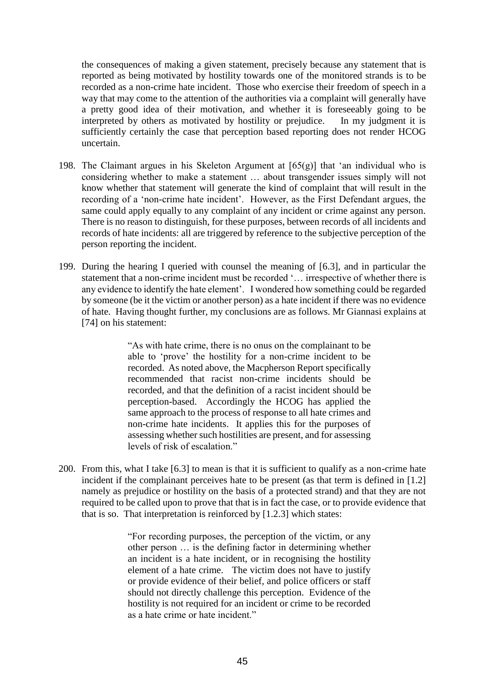the consequences of making a given statement, precisely because any statement that is reported as being motivated by hostility towards one of the monitored strands is to be recorded as a non-crime hate incident. Those who exercise their freedom of speech in a way that may come to the attention of the authorities via a complaint will generally have a pretty good idea of their motivation, and whether it is foreseeably going to be interpreted by others as motivated by hostility or prejudice. In my judgment it is sufficiently certainly the case that perception based reporting does not render HCOG uncertain.

- 198. The Claimant argues in his Skeleton Argument at  $[65(g)]$  that 'an individual who is considering whether to make a statement … about transgender issues simply will not know whether that statement will generate the kind of complaint that will result in the recording of a 'non-crime hate incident'. However, as the First Defendant argues, the same could apply equally to any complaint of any incident or crime against any person. There is no reason to distinguish, for these purposes, between records of all incidents and records of hate incidents: all are triggered by reference to the subjective perception of the person reporting the incident.
- 199. During the hearing I queried with counsel the meaning of [6.3], and in particular the statement that a non-crime incident must be recorded '… irrespective of whether there is any evidence to identify the hate element'. I wondered how something could be regarded by someone (be it the victim or another person) as a hate incident if there was no evidence of hate. Having thought further, my conclusions are as follows. Mr Giannasi explains at [74] on his statement:

"As with hate crime, there is no onus on the complainant to be able to 'prove' the hostility for a non-crime incident to be recorded. As noted above, the Macpherson Report specifically recommended that racist non-crime incidents should be recorded, and that the definition of a racist incident should be perception-based. Accordingly the HCOG has applied the same approach to the process of response to all hate crimes and non-crime hate incidents. It applies this for the purposes of assessing whether such hostilities are present, and for assessing levels of risk of escalation."

200. From this, what I take [6.3] to mean is that it is sufficient to qualify as a non-crime hate incident if the complainant perceives hate to be present (as that term is defined in [1.2] namely as prejudice or hostility on the basis of a protected strand) and that they are not required to be called upon to prove that that is in fact the case, or to provide evidence that that is so. That interpretation is reinforced by [1.2.3] which states:

> "For recording purposes, the perception of the victim, or any other person … is the defining factor in determining whether an incident is a hate incident, or in recognising the hostility element of a hate crime. The victim does not have to justify or provide evidence of their belief, and police officers or staff should not directly challenge this perception. Evidence of the hostility is not required for an incident or crime to be recorded as a hate crime or hate incident."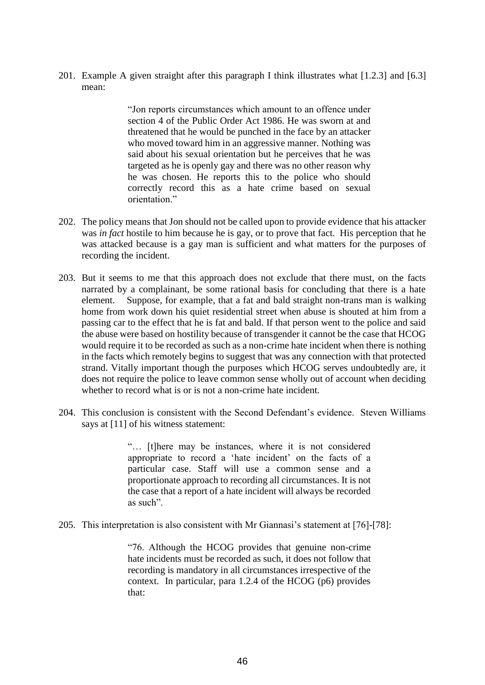201. Example A given straight after this paragraph I think illustrates what [1.2.3] and [6.3] mean:

> "Jon reports circumstances which amount to an offence under section 4 of the Public Order Act 1986. He was sworn at and threatened that he would be punched in the face by an attacker who moved toward him in an aggressive manner. Nothing was said about his sexual orientation but he perceives that he was targeted as he is openly gay and there was no other reason why he was chosen. He reports this to the police who should correctly record this as a hate crime based on sexual orientation."

- 202. The policy means that Jon should not be called upon to provide evidence that his attacker was *in fact* hostile to him because he is gay, or to prove that fact. His perception that he was attacked because is a gay man is sufficient and what matters for the purposes of recording the incident.
- 203. But it seems to me that this approach does not exclude that there must, on the facts narrated by a complainant, be some rational basis for concluding that there is a hate element. Suppose, for example, that a fat and bald straight non-trans man is walking home from work down his quiet residential street when abuse is shouted at him from a passing car to the effect that he is fat and bald. If that person went to the police and said the abuse were based on hostility because of transgender it cannot be the case that HCOG would require it to be recorded as such as a non-crime hate incident when there is nothing in the facts which remotely begins to suggest that was any connection with that protected strand. Vitally important though the purposes which HCOG serves undoubtedly are, it does not require the police to leave common sense wholly out of account when deciding whether to record what is or is not a non-crime hate incident.
- 204. This conclusion is consistent with the Second Defendant's evidence. Steven Williams says at [11] of his witness statement:

"… [t]here may be instances, where it is not considered appropriate to record a 'hate incident' on the facts of a particular case. Staff will use a common sense and a proportionate approach to recording all circumstances. It is not the case that a report of a hate incident will always be recorded as such".

205. This interpretation is also consistent with Mr Giannasi's statement at [76]-[78]:

"76. Although the HCOG provides that genuine non-crime hate incidents must be recorded as such, it does not follow that recording is mandatory in all circumstances irrespective of the context. In particular, para 1.2.4 of the HCOG (p6) provides that: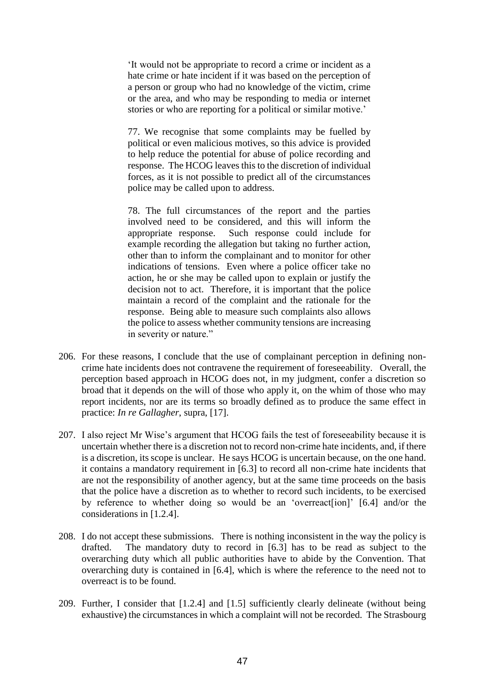'It would not be appropriate to record a crime or incident as a hate crime or hate incident if it was based on the perception of a person or group who had no knowledge of the victim, crime or the area, and who may be responding to media or internet stories or who are reporting for a political or similar motive.'

77. We recognise that some complaints may be fuelled by political or even malicious motives, so this advice is provided to help reduce the potential for abuse of police recording and response. The HCOG leaves this to the discretion of individual forces, as it is not possible to predict all of the circumstances police may be called upon to address.

78. The full circumstances of the report and the parties involved need to be considered, and this will inform the appropriate response. Such response could include for example recording the allegation but taking no further action, other than to inform the complainant and to monitor for other indications of tensions. Even where a police officer take no action, he or she may be called upon to explain or justify the decision not to act. Therefore, it is important that the police maintain a record of the complaint and the rationale for the response. Being able to measure such complaints also allows the police to assess whether community tensions are increasing in severity or nature."

- 206. For these reasons, I conclude that the use of complainant perception in defining noncrime hate incidents does not contravene the requirement of foreseeability. Overall, the perception based approach in HCOG does not, in my judgment, confer a discretion so broad that it depends on the will of those who apply it, on the whim of those who may report incidents, nor are its terms so broadly defined as to produce the same effect in practice: *In re Gallagher*, supra, [17].
- 207. I also reject Mr Wise's argument that HCOG fails the test of foreseeability because it is uncertain whether there is a discretion not to record non-crime hate incidents, and, if there is a discretion, its scope is unclear. He says HCOG is uncertain because, on the one hand. it contains a mandatory requirement in [6.3] to record all non-crime hate incidents that are not the responsibility of another agency, but at the same time proceeds on the basis that the police have a discretion as to whether to record such incidents, to be exercised by reference to whether doing so would be an 'overreact[ion]' [6.4] and/or the considerations in [1.2.4].
- 208. I do not accept these submissions. There is nothing inconsistent in the way the policy is drafted. The mandatory duty to record in [6.3] has to be read as subject to the overarching duty which all public authorities have to abide by the Convention. That overarching duty is contained in [6.4], which is where the reference to the need not to overreact is to be found.
- 209. Further, I consider that [1.2.4] and [1.5] sufficiently clearly delineate (without being exhaustive) the circumstances in which a complaint will not be recorded. The Strasbourg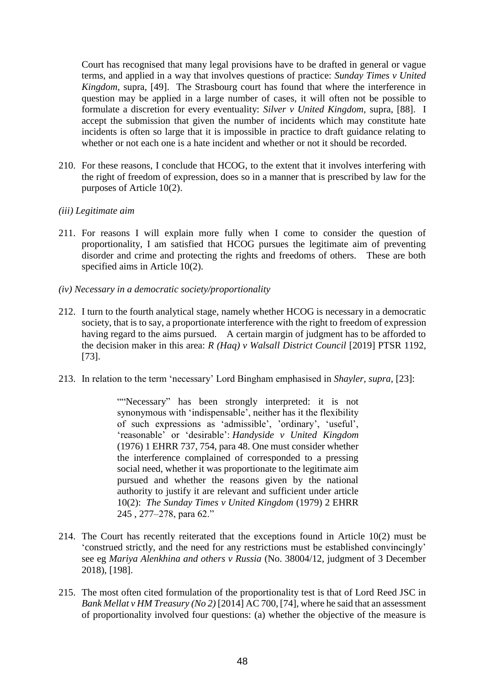Court has recognised that many legal provisions have to be drafted in general or vague terms, and applied in a way that involves questions of practice: *Sunday Times v United Kingdom*, supra, [49]. The Strasbourg court has found that where the interference in question may be applied in a large number of cases, it will often not be possible to formulate a discretion for every eventuality: *Silver v United Kingdom,* supra, [88]. I accept the submission that given the number of incidents which may constitute hate incidents is often so large that it is impossible in practice to draft guidance relating to whether or not each one is a hate incident and whether or not it should be recorded.

- 210. For these reasons, I conclude that HCOG, to the extent that it involves interfering with the right of freedom of expression, does so in a manner that is prescribed by law for the purposes of Article 10(2).
- *(iii) Legitimate aim*
- 211. For reasons I will explain more fully when I come to consider the question of proportionality, I am satisfied that HCOG pursues the legitimate aim of preventing disorder and crime and protecting the rights and freedoms of others. These are both specified aims in Article 10(2).
- *(iv) Necessary in a democratic society/proportionality*
- 212. I turn to the fourth analytical stage, namely whether HCOG is necessary in a democratic society, that is to say, a proportionate interference with the right to freedom of expression having regard to the aims pursued. A certain margin of judgment has to be afforded to the decision maker in this area: *R (Haq) v Walsall District Council* [2019] PTSR 1192, [73].
- 213. In relation to the term 'necessary' Lord Bingham emphasised in *Shayler, supra,* [23]:

""Necessary" has been strongly interpreted: it is not synonymous with 'indispensable', neither has it the flexibility of such expressions as 'admissible', 'ordinary', 'useful', 'reasonable' or 'desirable': *Handyside v United Kingdom* (1976) 1 EHRR 737, 754, para 48. One must consider whether the interference complained of corresponded to a pressing social need, whether it was proportionate to the legitimate aim pursued and whether the reasons given by the national authority to justify it are relevant and sufficient under article 10(2): *The Sunday Times v United Kingdom* (1979) 2 EHRR 245 , 277–278, para 62."

- 214. The Court has recently reiterated that the exceptions found in Article 10(2) must be 'construed strictly, and the need for any restrictions must be established convincingly' see eg *Mariya Alenkhina and others v Russia* (No. 38004/12, judgment of 3 December 2018), [198].
- 215. The most often cited formulation of the proportionality test is that of Lord Reed JSC in *Bank Mellat v HM Treasury (No 2)* [2014] AC 700, [74], where he said that an assessment of proportionality involved four questions: (a) whether the objective of the measure is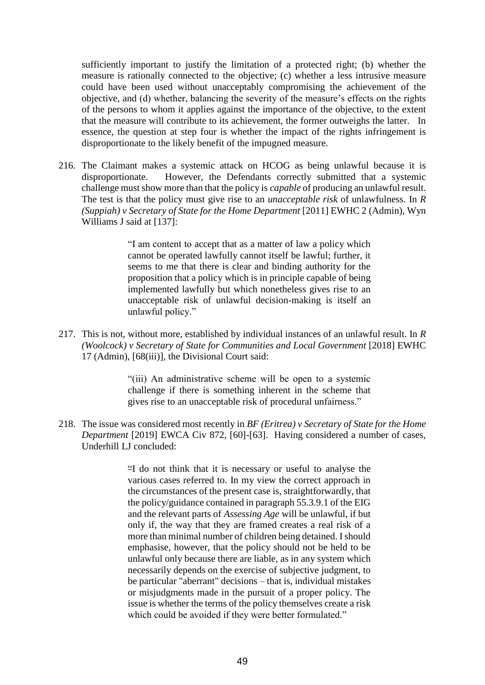sufficiently important to justify the limitation of a protected right; (b) whether the measure is rationally connected to the objective; (c) whether a less intrusive measure could have been used without unacceptably compromising the achievement of the objective, and (d) whether, balancing the severity of the measure's effects on the rights of the persons to whom it applies against the importance of the objective, to the extent that the measure will contribute to its achievement, the former outweighs the latter. In essence, the question at step four is whether the impact of the rights infringement is disproportionate to the likely benefit of the impugned measure.

216. The Claimant makes a systemic attack on HCOG as being unlawful because it is disproportionate. However, the Defendants correctly submitted that a systemic challenge must show more than that the policy is *capable* of producing an unlawful result. The test is that the policy must give rise to an *unacceptable risk* of unlawfulness. In *R (Suppiah) v Secretary of State for the Home Department* [2011] EWHC 2 (Admin), Wyn Williams J said at [137]:

> "I am content to accept that as a matter of law a policy which cannot be operated lawfully cannot itself be lawful; further, it seems to me that there is clear and binding authority for the proposition that a policy which is in principle capable of being implemented lawfully but which nonetheless gives rise to an unacceptable risk of unlawful decision-making is itself an unlawful policy."

217. This is not, without more, established by individual instances of an unlawful result. In *R (Woolcock) v Secretary of State for Communities and Local Government [2018] EWHC* 17 (Admin), [68(iii)], the Divisional Court said:

> "(iii) An administrative scheme will be open to a systemic challenge if there is something inherent in the scheme that gives rise to an unacceptable risk of procedural unfairness."

218. The issue was considered most recently in *BF (Eritrea) v Secretary of State for the Home Department* [2019] EWCA Civ 872, [60]-[63]. Having considered a number of cases, Underhill LJ concluded:

> "I do not think that it is necessary or useful to analyse the various cases referred to. In my view the correct approach in the circumstances of the present case is, straightforwardly, that the policy/guidance contained in paragraph 55.3.9.1 of the EIG and the relevant parts of *Assessing Age* will be unlawful, if but only if, the way that they are framed creates a real risk of a more than minimal number of children being detained. I should emphasise, however, that the policy should not be held to be unlawful only because there are liable, as in any system which necessarily depends on the exercise of subjective judgment, to be particular "aberrant" decisions – that is, individual mistakes or misjudgments made in the pursuit of a proper policy. The issue is whether the terms of the policy themselves create a risk which could be avoided if they were better formulated."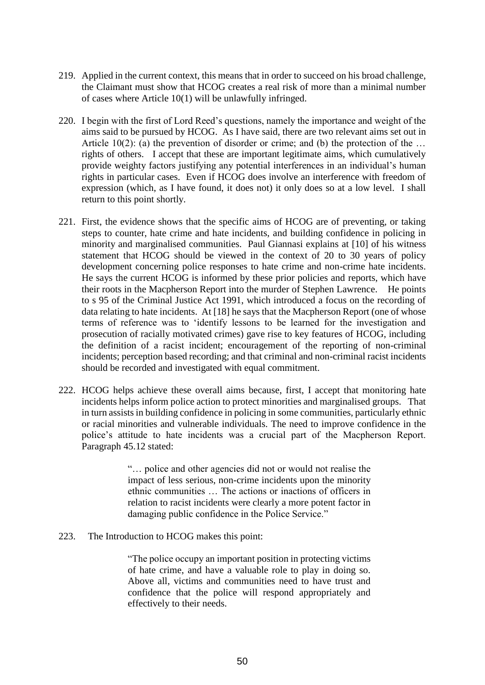- 219. Applied in the current context, this means that in order to succeed on his broad challenge, the Claimant must show that HCOG creates a real risk of more than a minimal number of cases where Article 10(1) will be unlawfully infringed.
- 220. I begin with the first of Lord Reed's questions, namely the importance and weight of the aims said to be pursued by HCOG. As I have said, there are two relevant aims set out in Article 10(2): (a) the prevention of disorder or crime; and (b) the protection of the … rights of others. I accept that these are important legitimate aims, which cumulatively provide weighty factors justifying any potential interferences in an individual's human rights in particular cases. Even if HCOG does involve an interference with freedom of expression (which, as I have found, it does not) it only does so at a low level. I shall return to this point shortly.
- 221. First, the evidence shows that the specific aims of HCOG are of preventing, or taking steps to counter, hate crime and hate incidents, and building confidence in policing in minority and marginalised communities. Paul Giannasi explains at [10] of his witness statement that HCOG should be viewed in the context of 20 to 30 years of policy development concerning police responses to hate crime and non-crime hate incidents. He says the current HCOG is informed by these prior policies and reports, which have their roots in the Macpherson Report into the murder of Stephen Lawrence. He points to s 95 of the Criminal Justice Act 1991, which introduced a focus on the recording of data relating to hate incidents. At [18] he says that the Macpherson Report (one of whose terms of reference was to 'identify lessons to be learned for the investigation and prosecution of racially motivated crimes) gave rise to key features of HCOG, including the definition of a racist incident; encouragement of the reporting of non-criminal incidents; perception based recording; and that criminal and non-criminal racist incidents should be recorded and investigated with equal commitment.
- 222. HCOG helps achieve these overall aims because, first, I accept that monitoring hate incidents helps inform police action to protect minorities and marginalised groups. That in turn assists in building confidence in policing in some communities, particularly ethnic or racial minorities and vulnerable individuals. The need to improve confidence in the police's attitude to hate incidents was a crucial part of the Macpherson Report. Paragraph 45.12 stated:

"… police and other agencies did not or would not realise the impact of less serious, non-crime incidents upon the minority ethnic communities … The actions or inactions of officers in relation to racist incidents were clearly a more potent factor in damaging public confidence in the Police Service."

223. The Introduction to HCOG makes this point:

"The police occupy an important position in protecting victims of hate crime, and have a valuable role to play in doing so. Above all, victims and communities need to have trust and confidence that the police will respond appropriately and effectively to their needs.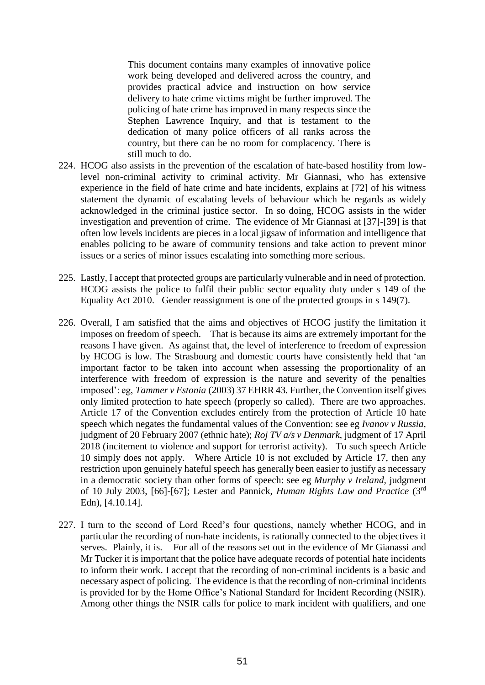This document contains many examples of innovative police work being developed and delivered across the country, and provides practical advice and instruction on how service delivery to hate crime victims might be further improved. The policing of hate crime has improved in many respects since the Stephen Lawrence Inquiry, and that is testament to the dedication of many police officers of all ranks across the country, but there can be no room for complacency. There is still much to do.

- 224. HCOG also assists in the prevention of the escalation of hate-based hostility from lowlevel non-criminal activity to criminal activity. Mr Giannasi, who has extensive experience in the field of hate crime and hate incidents, explains at [72] of his witness statement the dynamic of escalating levels of behaviour which he regards as widely acknowledged in the criminal justice sector. In so doing, HCOG assists in the wider investigation and prevention of crime. The evidence of Mr Giannasi at [37]-[39] is that often low levels incidents are pieces in a local jigsaw of information and intelligence that enables policing to be aware of community tensions and take action to prevent minor issues or a series of minor issues escalating into something more serious.
- 225. Lastly, I accept that protected groups are particularly vulnerable and in need of protection. HCOG assists the police to fulfil their public sector equality duty under s 149 of the Equality Act 2010. Gender reassignment is one of the protected groups in s 149(7).
- 226. Overall, I am satisfied that the aims and objectives of HCOG justify the limitation it imposes on freedom of speech. That is because its aims are extremely important for the reasons I have given. As against that, the level of interference to freedom of expression by HCOG is low. The Strasbourg and domestic courts have consistently held that 'an important factor to be taken into account when assessing the proportionality of an interference with freedom of expression is the nature and severity of the penalties imposed': eg, *Tammer v Estonia* (2003) 37 EHRR 43*.* Further, the Convention itself gives only limited protection to hate speech (properly so called). There are two approaches. Article 17 of the Convention excludes entirely from the protection of Article 10 hate speech which negates the fundamental values of the Convention: see eg *Ivanov v Russia,*  judgment of 20 February 2007 (ethnic hate); *Roj TV a/s v Denmark*, judgment of 17 April 2018 (incitement to violence and support for terrorist activity). To such speech Article 10 simply does not apply. Where Article 10 is not excluded by Article 17, then any restriction upon genuinely hateful speech has generally been easier to justify as necessary in a democratic society than other forms of speech: see eg *Murphy v Ireland,* judgment of 10 July 2003, [66]-[67]; Lester and Pannick, *Human Rights Law and Practice* (3rd Edn), [4.10.14].
- 227. I turn to the second of Lord Reed's four questions, namely whether HCOG, and in particular the recording of non-hate incidents, is rationally connected to the objectives it serves. Plainly, it is. For all of the reasons set out in the evidence of Mr Gianassi and Mr Tucker it is important that the police have adequate records of potential hate incidents to inform their work. I accept that the recording of non-criminal incidents is a basic and necessary aspect of policing. The evidence is that the recording of non-criminal incidents is provided for by the Home Office's National Standard for Incident Recording (NSIR). Among other things the NSIR calls for police to mark incident with qualifiers, and one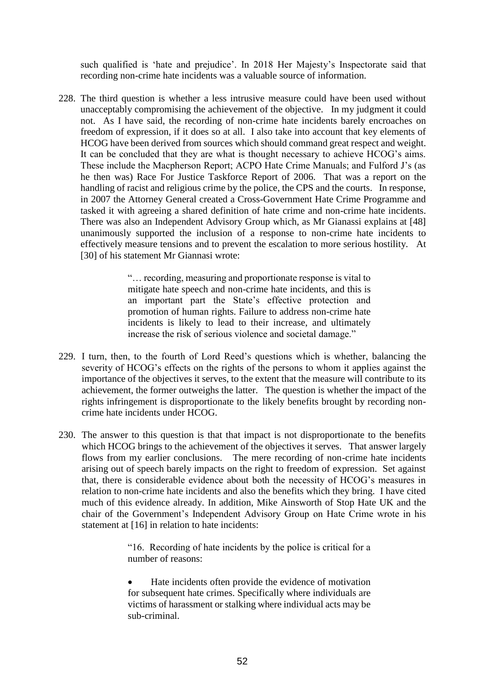such qualified is 'hate and prejudice'. In 2018 Her Majesty's Inspectorate said that recording non-crime hate incidents was a valuable source of information.

228. The third question is whether a less intrusive measure could have been used without unacceptably compromising the achievement of the objective. In my judgment it could not. As I have said, the recording of non-crime hate incidents barely encroaches on freedom of expression, if it does so at all. I also take into account that key elements of HCOG have been derived from sources which should command great respect and weight. It can be concluded that they are what is thought necessary to achieve HCOG's aims. These include the Macpherson Report; ACPO Hate Crime Manuals; and Fulford J's (as he then was) Race For Justice Taskforce Report of 2006. That was a report on the handling of racist and religious crime by the police, the CPS and the courts. In response, in 2007 the Attorney General created a Cross-Government Hate Crime Programme and tasked it with agreeing a shared definition of hate crime and non-crime hate incidents. There was also an Independent Advisory Group which, as Mr Gianassi explains at [48] unanimously supported the inclusion of a response to non-crime hate incidents to effectively measure tensions and to prevent the escalation to more serious hostility. At [30] of his statement Mr Giannasi wrote:

> "… recording, measuring and proportionate response is vital to mitigate hate speech and non-crime hate incidents, and this is an important part the State's effective protection and promotion of human rights. Failure to address non-crime hate incidents is likely to lead to their increase, and ultimately increase the risk of serious violence and societal damage."

- 229. I turn, then, to the fourth of Lord Reed's questions which is whether, balancing the severity of HCOG's effects on the rights of the persons to whom it applies against the importance of the objectives it serves, to the extent that the measure will contribute to its achievement, the former outweighs the latter. The question is whether the impact of the rights infringement is disproportionate to the likely benefits brought by recording noncrime hate incidents under HCOG.
- 230. The answer to this question is that that impact is not disproportionate to the benefits which HCOG brings to the achievement of the objectives it serves. That answer largely flows from my earlier conclusions. The mere recording of non-crime hate incidents arising out of speech barely impacts on the right to freedom of expression. Set against that, there is considerable evidence about both the necessity of HCOG's measures in relation to non-crime hate incidents and also the benefits which they bring. I have cited much of this evidence already. In addition, Mike Ainsworth of Stop Hate UK and the chair of the Government's Independent Advisory Group on Hate Crime wrote in his statement at [16] in relation to hate incidents:

"16. Recording of hate incidents by the police is critical for a number of reasons:

Hate incidents often provide the evidence of motivation for subsequent hate crimes. Specifically where individuals are victims of harassment or stalking where individual acts may be sub-criminal.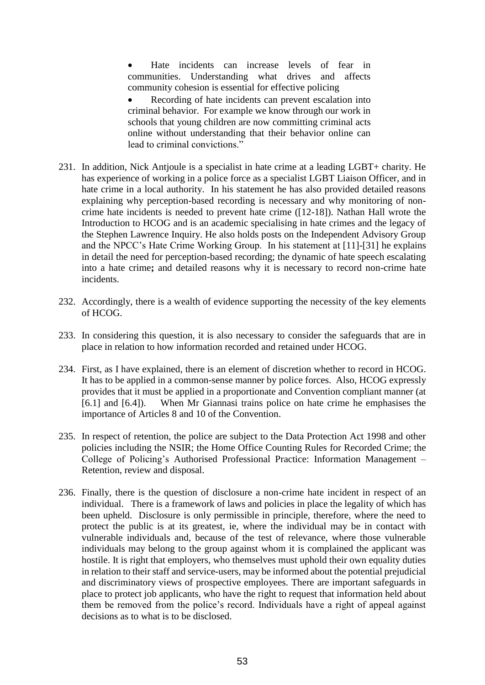• Hate incidents can increase levels of fear in communities. Understanding what drives and affects community cohesion is essential for effective policing Recording of hate incidents can prevent escalation into criminal behavior. For example we know through our work in schools that young children are now committing criminal acts online without understanding that their behavior online can lead to criminal convictions."

- 231. In addition, Nick Antjoule is a specialist in hate crime at a leading LGBT+ charity. He has experience of working in a police force as a specialist LGBT Liaison Officer, and in hate crime in a local authority. In his statement he has also provided detailed reasons explaining why perception-based recording is necessary and why monitoring of noncrime hate incidents is needed to prevent hate crime ([12-18]). Nathan Hall wrote the Introduction to HCOG and is an academic specialising in hate crimes and the legacy of the Stephen Lawrence Inquiry. He also holds posts on the Independent Advisory Group and the NPCC's Hate Crime Working Group. In his statement at [11]-[31] he explains in detail the need for perception-based recording; the dynamic of hate speech escalating into a hate crime**;** and detailed reasons why it is necessary to record non-crime hate incidents.
- 232. Accordingly, there is a wealth of evidence supporting the necessity of the key elements of HCOG.
- 233. In considering this question, it is also necessary to consider the safeguards that are in place in relation to how information recorded and retained under HCOG.
- 234. First, as I have explained, there is an element of discretion whether to record in HCOG. It has to be applied in a common-sense manner by police forces. Also, HCOG expressly provides that it must be applied in a proportionate and Convention compliant manner (at [6.1] and [6.4]). When Mr Giannasi trains police on hate crime he emphasises the importance of Articles 8 and 10 of the Convention.
- 235. In respect of retention, the police are subject to the Data Protection Act 1998 and other policies including the NSIR; the Home Office Counting Rules for Recorded Crime; the College of Policing's Authorised Professional Practice: Information Management – Retention, review and disposal.
- 236. Finally, there is the question of disclosure a non-crime hate incident in respect of an individual. There is a framework of laws and policies in place the legality of which has been upheld. Disclosure is only permissible in principle, therefore, where the need to protect the public is at its greatest, ie, where the individual may be in contact with vulnerable individuals and, because of the test of relevance, where those vulnerable individuals may belong to the group against whom it is complained the applicant was hostile. It is right that employers, who themselves must uphold their own equality duties in relation to their staff and service-users, may be informed about the potential prejudicial and discriminatory views of prospective employees. There are important safeguards in place to protect job applicants, who have the right to request that information held about them be removed from the police's record. Individuals have a right of appeal against decisions as to what is to be disclosed.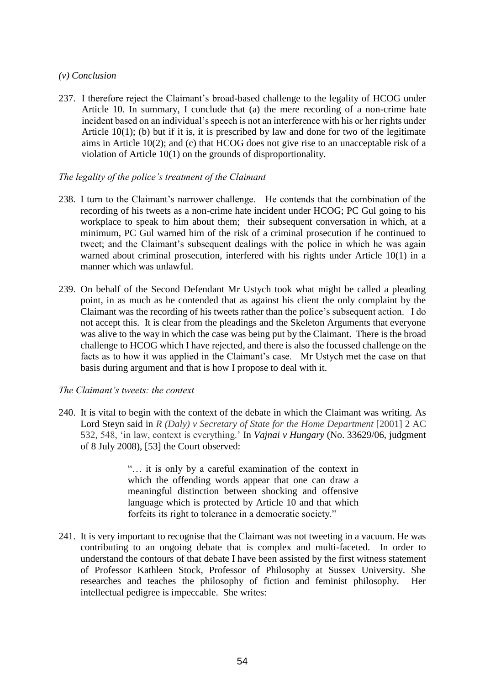# *(v) Conclusion*

237. I therefore reject the Claimant's broad-based challenge to the legality of HCOG under Article 10. In summary, I conclude that (a) the mere recording of a non-crime hate incident based on an individual's speech is not an interference with his or her rights under Article 10(1); (b) but if it is, it is prescribed by law and done for two of the legitimate aims in Article 10(2); and (c) that HCOG does not give rise to an unacceptable risk of a violation of Article 10(1) on the grounds of disproportionality.

# *The legality of the police's treatment of the Claimant*

- 238. I turn to the Claimant's narrower challenge. He contends that the combination of the recording of his tweets as a non-crime hate incident under HCOG; PC Gul going to his workplace to speak to him about them; their subsequent conversation in which, at a minimum, PC Gul warned him of the risk of a criminal prosecution if he continued to tweet; and the Claimant's subsequent dealings with the police in which he was again warned about criminal prosecution, interfered with his rights under Article 10(1) in a manner which was unlawful.
- 239. On behalf of the Second Defendant Mr Ustych took what might be called a pleading point, in as much as he contended that as against his client the only complaint by the Claimant was the recording of his tweets rather than the police's subsequent action. I do not accept this. It is clear from the pleadings and the Skeleton Arguments that everyone was alive to the way in which the case was being put by the Claimant. There is the broad challenge to HCOG which I have rejected, and there is also the focussed challenge on the facts as to how it was applied in the Claimant's case. Mr Ustych met the case on that basis during argument and that is how I propose to deal with it.

# *The Claimant's tweets: the context*

240. It is vital to begin with the context of the debate in which the Claimant was writing. As Lord Steyn said in *R (Daly) v Secretary of State for the Home Department* [2001] 2 AC 532, 548, 'in law, context is everything.' In *Vajnai v Hungary* (No. 33629/06, judgment of 8 July 2008), [53] the Court observed:

> "… it is only by a careful examination of the context in which the offending words appear that one can draw a meaningful distinction between shocking and offensive language which is protected by Article 10 and that which forfeits its right to tolerance in a democratic society."

241. It is very important to recognise that the Claimant was not tweeting in a vacuum. He was contributing to an ongoing debate that is complex and multi-faceted. In order to understand the contours of that debate I have been assisted by the first witness statement of Professor Kathleen Stock, Professor of Philosophy at Sussex University. She researches and teaches the philosophy of fiction and feminist philosophy. Her intellectual pedigree is impeccable. She writes: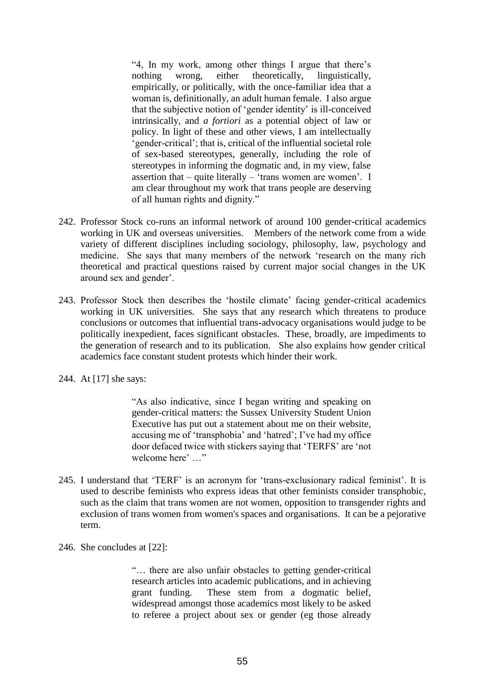"4, In my work, among other things I argue that there's nothing wrong, either theoretically, linguistically, empirically, or politically, with the once-familiar idea that a woman is, definitionally, an adult human female. I also argue that the subjective notion of 'gender identity' is ill-conceived intrinsically, and *a fortiori* as a potential object of law or policy. In light of these and other views, I am intellectually 'gender-critical'; that is, critical of the influential societal role of sex-based stereotypes, generally, including the role of stereotypes in informing the dogmatic and, in my view, false assertion that – quite literally – 'trans women are women'. I am clear throughout my work that trans people are deserving of all human rights and dignity."

- 242. Professor Stock co-runs an informal network of around 100 gender-critical academics working in UK and overseas universities. Members of the network come from a wide variety of different disciplines including sociology, philosophy, law, psychology and medicine. She says that many members of the network 'research on the many rich theoretical and practical questions raised by current major social changes in the UK around sex and gender'.
- 243. Professor Stock then describes the 'hostile climate' facing gender-critical academics working in UK universities. She says that any research which threatens to produce conclusions or outcomes that influential trans-advocacy organisations would judge to be politically inexpedient, faces significant obstacles. These, broadly, are impediments to the generation of research and to its publication. She also explains how gender critical academics face constant student protests which hinder their work.
- 244. At [17] she says:

"As also indicative, since I began writing and speaking on gender-critical matters: the Sussex University Student Union Executive has put out a statement about me on their website, accusing me of 'transphobia' and 'hatred'; I've had my office door defaced twice with stickers saying that 'TERFS' are 'not welcome here' …"

- 245. I understand that 'TERF' is an acronym for 'trans-exclusionary radical feminist'. It is used to describe feminists who express ideas that other feminists consider transphobic, such as the claim that trans women are not women, opposition to transgender rights and exclusion of trans women from women's spaces and organisations. It can be a pejorative term.
- 246. She concludes at [22]:

"… there are also unfair obstacles to getting gender-critical research articles into academic publications, and in achieving grant funding. These stem from a dogmatic belief, widespread amongst those academics most likely to be asked to referee a project about sex or gender (eg those already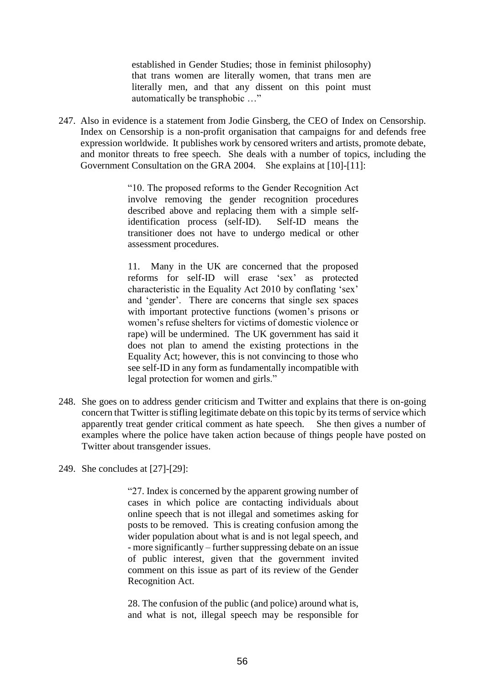established in Gender Studies; those in feminist philosophy) that trans women are literally women, that trans men are literally men, and that any dissent on this point must automatically be transphobic …"

247. Also in evidence is a statement from Jodie Ginsberg, the CEO of Index on Censorship. Index on Censorship is a non-profit organisation that campaigns for and defends free expression worldwide. It publishes work by censored writers and artists, promote debate, and monitor threats to free speech. She deals with a number of topics, including the Government Consultation on the GRA 2004. She explains at [10]-[11]:

> "10. The proposed reforms to the Gender Recognition Act involve removing the gender recognition procedures described above and replacing them with a simple selfidentification process (self-ID). Self-ID means the transitioner does not have to undergo medical or other assessment procedures.

> 11. Many in the UK are concerned that the proposed reforms for self-ID will erase 'sex' as protected characteristic in the Equality Act 2010 by conflating 'sex' and 'gender'. There are concerns that single sex spaces with important protective functions (women's prisons or women's refuse shelters for victims of domestic violence or rape) will be undermined. The UK government has said it does not plan to amend the existing protections in the Equality Act; however, this is not convincing to those who see self-ID in any form as fundamentally incompatible with legal protection for women and girls."

- 248. She goes on to address gender criticism and Twitter and explains that there is on-going concern that Twitter is stifling legitimate debate on this topic by its terms of service which apparently treat gender critical comment as hate speech. She then gives a number of examples where the police have taken action because of things people have posted on Twitter about transgender issues.
- 249. She concludes at [27]-[29]:

"27. Index is concerned by the apparent growing number of cases in which police are contacting individuals about online speech that is not illegal and sometimes asking for posts to be removed. This is creating confusion among the wider population about what is and is not legal speech, and - more significantly – further suppressing debate on an issue of public interest, given that the government invited comment on this issue as part of its review of the Gender Recognition Act.

28. The confusion of the public (and police) around what is, and what is not, illegal speech may be responsible for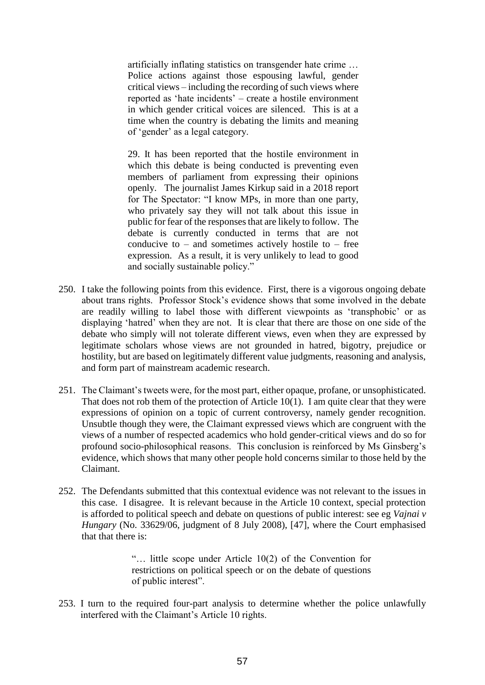artificially inflating statistics on transgender hate crime … Police actions against those espousing lawful, gender critical views – including the recording of such views where reported as 'hate incidents' – create a hostile environment in which gender critical voices are silenced. This is at a time when the country is debating the limits and meaning of 'gender' as a legal category.

29. It has been reported that the hostile environment in which this debate is being conducted is preventing even members of parliament from expressing their opinions openly. The journalist James Kirkup said in a 2018 report for The Spectator: "I know MPs, in more than one party, who privately say they will not talk about this issue in public for fear of the responses that are likely to follow. The debate is currently conducted in terms that are not conducive to – and sometimes actively hostile to – free expression. As a result, it is very unlikely to lead to good and socially sustainable policy."

- 250. I take the following points from this evidence. First, there is a vigorous ongoing debate about trans rights. Professor Stock's evidence shows that some involved in the debate are readily willing to label those with different viewpoints as 'transphobic' or as displaying 'hatred' when they are not. It is clear that there are those on one side of the debate who simply will not tolerate different views, even when they are expressed by legitimate scholars whose views are not grounded in hatred, bigotry, prejudice or hostility, but are based on legitimately different value judgments, reasoning and analysis, and form part of mainstream academic research.
- 251. The Claimant's tweets were, for the most part, either opaque, profane, or unsophisticated. That does not rob them of the protection of Article 10(1). I am quite clear that they were expressions of opinion on a topic of current controversy, namely gender recognition. Unsubtle though they were, the Claimant expressed views which are congruent with the views of a number of respected academics who hold gender-critical views and do so for profound socio-philosophical reasons. This conclusion is reinforced by Ms Ginsberg's evidence, which shows that many other people hold concerns similar to those held by the Claimant.
- 252. The Defendants submitted that this contextual evidence was not relevant to the issues in this case. I disagree. It is relevant because in the Article 10 context, special protection is afforded to political speech and debate on questions of public interest: see eg *Vajnai v Hungary* (No. 33629/06, judgment of 8 July 2008), [47], where the Court emphasised that that there is:

"… little scope under Article 10(2) of the Convention for restrictions on political speech or on the debate of questions of public interest".

253. I turn to the required four-part analysis to determine whether the police unlawfully interfered with the Claimant's Article 10 rights.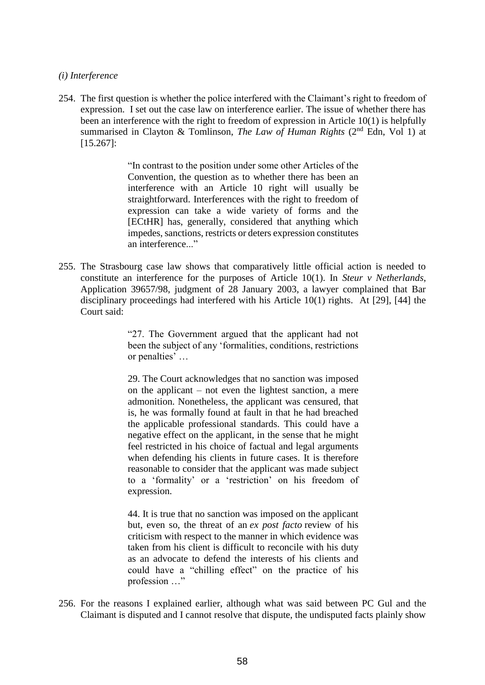### *(i) Interference*

254. The first question is whether the police interfered with the Claimant's right to freedom of expression. I set out the case law on interference earlier. The issue of whether there has been an interference with the right to freedom of expression in Article 10(1) is helpfully summarised in Clayton & Tomlinson, *The Law of Human Rights* (2<sup>nd</sup> Edn, Vol 1) at [15.267]:

> "In contrast to the position under some other Articles of the Convention, the question as to whether there has been an interference with an Article 10 right will usually be straightforward. Interferences with the right to freedom of expression can take a wide variety of forms and the [ECtHR] has, generally, considered that anything which impedes, sanctions, restricts or deters expression constitutes an interference..."

255. The Strasbourg case law shows that comparatively little official action is needed to constitute an interference for the purposes of Article 10(1). In *Steur v Netherlands*, Application 39657/98, judgment of 28 January 2003, a lawyer complained that Bar disciplinary proceedings had interfered with his Article 10(1) rights. At [29], [44] the Court said:

> "27. The Government argued that the applicant had not been the subject of any 'formalities, conditions, restrictions or penalties' …

> 29. The Court acknowledges that no sanction was imposed on the applicant – not even the lightest sanction, a mere admonition. Nonetheless, the applicant was censured, that is, he was formally found at fault in that he had breached the applicable professional standards. This could have a negative effect on the applicant, in the sense that he might feel restricted in his choice of factual and legal arguments when defending his clients in future cases. It is therefore reasonable to consider that the applicant was made subject to a 'formality' or a 'restriction' on his freedom of expression.

> 44. It is true that no sanction was imposed on the applicant but, even so, the threat of an *ex post facto* review of his criticism with respect to the manner in which evidence was taken from his client is difficult to reconcile with his duty as an advocate to defend the interests of his clients and could have a "chilling effect" on the practice of his profession …"

256. For the reasons I explained earlier, although what was said between PC Gul and the Claimant is disputed and I cannot resolve that dispute, the undisputed facts plainly show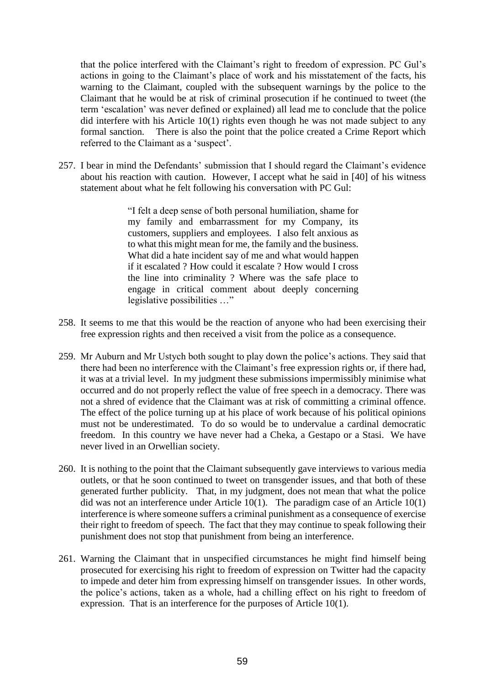that the police interfered with the Claimant's right to freedom of expression. PC Gul's actions in going to the Claimant's place of work and his misstatement of the facts, his warning to the Claimant, coupled with the subsequent warnings by the police to the Claimant that he would be at risk of criminal prosecution if he continued to tweet (the term 'escalation' was never defined or explained) all lead me to conclude that the police did interfere with his Article 10(1) rights even though he was not made subject to any formal sanction. There is also the point that the police created a Crime Report which referred to the Claimant as a 'suspect'.

257. I bear in mind the Defendants' submission that I should regard the Claimant's evidence about his reaction with caution. However, I accept what he said in [40] of his witness statement about what he felt following his conversation with PC Gul:

> "I felt a deep sense of both personal humiliation, shame for my family and embarrassment for my Company, its customers, suppliers and employees. I also felt anxious as to what this might mean for me, the family and the business. What did a hate incident say of me and what would happen if it escalated ? How could it escalate ? How would I cross the line into criminality ? Where was the safe place to engage in critical comment about deeply concerning legislative possibilities …"

- 258. It seems to me that this would be the reaction of anyone who had been exercising their free expression rights and then received a visit from the police as a consequence.
- 259. Mr Auburn and Mr Ustych both sought to play down the police's actions. They said that there had been no interference with the Claimant's free expression rights or, if there had, it was at a trivial level. In my judgment these submissions impermissibly minimise what occurred and do not properly reflect the value of free speech in a democracy. There was not a shred of evidence that the Claimant was at risk of committing a criminal offence. The effect of the police turning up at his place of work because of his political opinions must not be underestimated. To do so would be to undervalue a cardinal democratic freedom. In this country we have never had a Cheka, a Gestapo or a Stasi. We have never lived in an Orwellian society.
- 260. It is nothing to the point that the Claimant subsequently gave interviews to various media outlets, or that he soon continued to tweet on transgender issues, and that both of these generated further publicity. That, in my judgment, does not mean that what the police did was not an interference under Article 10(1). The paradigm case of an Article 10(1) interference is where someone suffers a criminal punishment as a consequence of exercise their right to freedom of speech. The fact that they may continue to speak following their punishment does not stop that punishment from being an interference.
- 261. Warning the Claimant that in unspecified circumstances he might find himself being prosecuted for exercising his right to freedom of expression on Twitter had the capacity to impede and deter him from expressing himself on transgender issues. In other words, the police's actions, taken as a whole, had a chilling effect on his right to freedom of expression. That is an interference for the purposes of Article 10(1).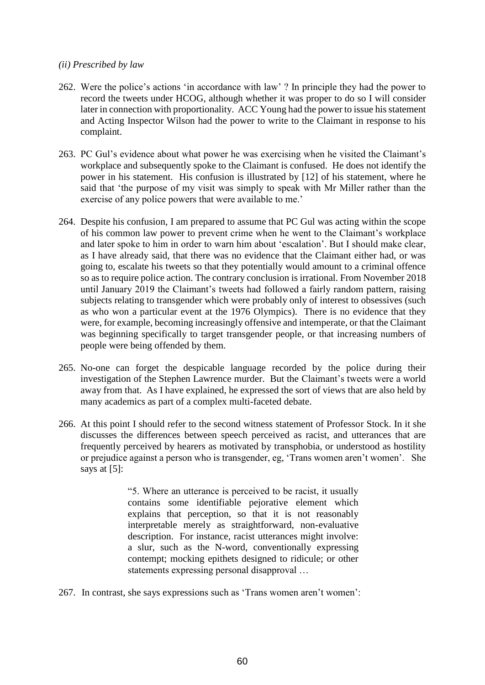### *(ii) Prescribed by law*

- 262. Were the police's actions 'in accordance with law' ? In principle they had the power to record the tweets under HCOG, although whether it was proper to do so I will consider later in connection with proportionality. ACC Young had the power to issue his statement and Acting Inspector Wilson had the power to write to the Claimant in response to his complaint.
- 263. PC Gul's evidence about what power he was exercising when he visited the Claimant's workplace and subsequently spoke to the Claimant is confused. He does not identify the power in his statement. His confusion is illustrated by [12] of his statement, where he said that 'the purpose of my visit was simply to speak with Mr Miller rather than the exercise of any police powers that were available to me.'
- 264. Despite his confusion, I am prepared to assume that PC Gul was acting within the scope of his common law power to prevent crime when he went to the Claimant's workplace and later spoke to him in order to warn him about 'escalation'. But I should make clear, as I have already said, that there was no evidence that the Claimant either had, or was going to, escalate his tweets so that they potentially would amount to a criminal offence so as to require police action. The contrary conclusion is irrational. From November 2018 until January 2019 the Claimant's tweets had followed a fairly random pattern, raising subjects relating to transgender which were probably only of interest to obsessives (such as who won a particular event at the 1976 Olympics). There is no evidence that they were, for example, becoming increasingly offensive and intemperate, or that the Claimant was beginning specifically to target transgender people, or that increasing numbers of people were being offended by them.
- 265. No-one can forget the despicable language recorded by the police during their investigation of the Stephen Lawrence murder. But the Claimant's tweets were a world away from that. As I have explained, he expressed the sort of views that are also held by many academics as part of a complex multi-faceted debate.
- 266. At this point I should refer to the second witness statement of Professor Stock. In it she discusses the differences between speech perceived as racist, and utterances that are frequently perceived by hearers as motivated by transphobia, or understood as hostility or prejudice against a person who is transgender, eg, 'Trans women aren't women'. She says at [5]:

"5. Where an utterance is perceived to be racist, it usually contains some identifiable pejorative element which explains that perception, so that it is not reasonably interpretable merely as straightforward, non-evaluative description. For instance, racist utterances might involve: a slur, such as the N-word, conventionally expressing contempt; mocking epithets designed to ridicule; or other statements expressing personal disapproval …

267. In contrast, she says expressions such as 'Trans women aren't women':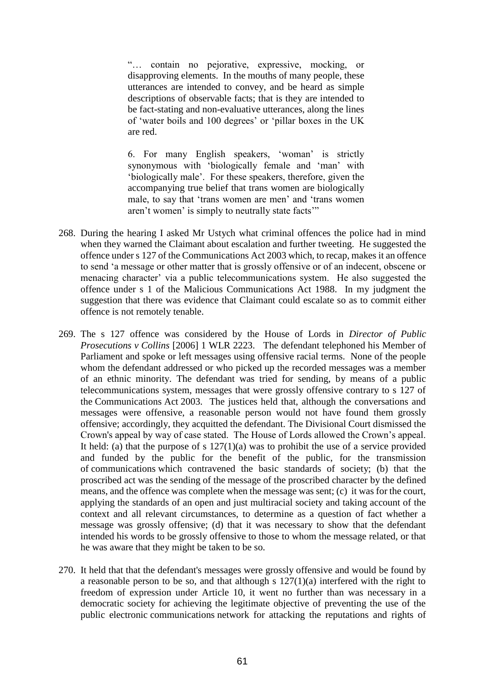"… contain no pejorative, expressive, mocking, or disapproving elements. In the mouths of many people, these utterances are intended to convey, and be heard as simple descriptions of observable facts; that is they are intended to be fact-stating and non-evaluative utterances, along the lines of 'water boils and 100 degrees' or 'pillar boxes in the UK are red.

6. For many English speakers, 'woman' is strictly synonymous with 'biologically female and 'man' with 'biologically male'. For these speakers, therefore, given the accompanying true belief that trans women are biologically male, to say that 'trans women are men' and 'trans women aren't women' is simply to neutrally state facts'"

- 268. During the hearing I asked Mr Ustych what criminal offences the police had in mind when they warned the Claimant about escalation and further tweeting. He suggested the offence under s 127 of the Communications Act 2003 which, to recap, makes it an offence to send 'a message or other matter that is grossly offensive or of an indecent, obscene or menacing character' via a public telecommunications system. He also suggested the offence under s 1 of the Malicious Communications Act 1988. In my judgment the suggestion that there was evidence that Claimant could escalate so as to commit either offence is not remotely tenable.
- 269. The s 127 offence was considered by the House of Lords in *Director of Public Prosecutions v Collins* [2006] 1 WLR 2223. The defendant telephoned his Member of Parliament and spoke or left messages using offensive racial terms. None of the people whom the defendant addressed or who picked up the recorded messages was a member of an ethnic minority. The defendant was tried for sending, by means of a public telecommunications system, messages that were grossly offensive contrary to s 127 of the Communications Act 2003. The justices held that, although the conversations and messages were offensive, a reasonable person would not have found them grossly offensive; accordingly, they acquitted the defendant. The Divisional Court dismissed the Crown's appeal by way of case stated. The House of Lords allowed the Crown's appeal. It held: (a) that the purpose of s  $127(1)(a)$  was to prohibit the use of a service provided and funded by the public for the benefit of the public, for the transmission of communications which contravened the basic standards of society; (b) that the proscribed act was the sending of the message of the proscribed character by the defined means, and the offence was complete when the message was sent; (c) it was for the court, applying the standards of an open and just multiracial society and taking account of the context and all relevant circumstances, to determine as a question of fact whether a message was grossly offensive; (d) that it was necessary to show that the defendant intended his words to be grossly offensive to those to whom the message related, or that he was aware that they might be taken to be so.
- 270. It held that that the defendant's messages were grossly offensive and would be found by a reasonable person to be so, and that although s  $127(1)(a)$  interfered with the right to freedom of expression under Article 10, it went no further than was necessary in a democratic society for achieving the legitimate objective of preventing the use of the public electronic communications network for attacking the reputations and rights of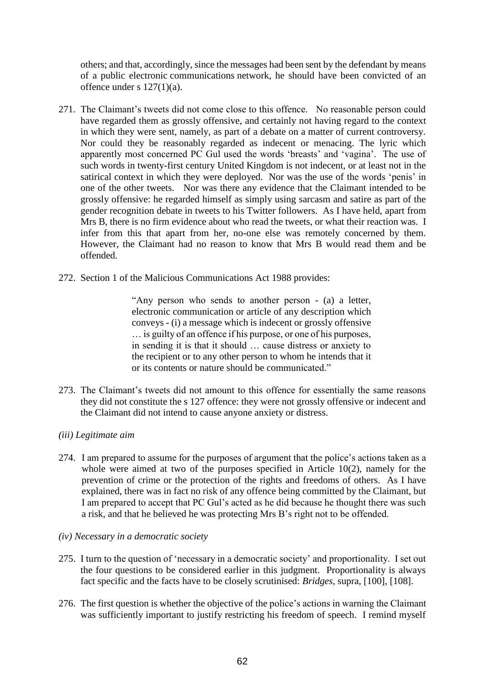others; and that, accordingly, since the messages had been sent by the defendant by means of a public electronic communications network, he should have been convicted of an offence under s 127(1)(a).

- 271. The Claimant's tweets did not come close to this offence. No reasonable person could have regarded them as grossly offensive, and certainly not having regard to the context in which they were sent, namely, as part of a debate on a matter of current controversy. Nor could they be reasonably regarded as indecent or menacing. The lyric which apparently most concerned PC Gul used the words 'breasts' and 'vagina'. The use of such words in twenty-first century United Kingdom is not indecent, or at least not in the satirical context in which they were deployed. Nor was the use of the words 'penis' in one of the other tweets. Nor was there any evidence that the Claimant intended to be grossly offensive: he regarded himself as simply using sarcasm and satire as part of the gender recognition debate in tweets to his Twitter followers. As I have held, apart from Mrs B, there is no firm evidence about who read the tweets, or what their reaction was. I infer from this that apart from her, no-one else was remotely concerned by them. However, the Claimant had no reason to know that Mrs B would read them and be offended.
- 272. Section 1 of the Malicious Communications Act 1988 provides:

"Any person who sends to another person - (a) a letter, electronic communication or article of any description which conveys - (i) a message which is indecent or grossly offensive … is guilty of an offence if his purpose, or one of his purposes, in sending it is that it should … cause distress or anxiety to the recipient or to any other person to whom he intends that it or its contents or nature should be communicated."

273. The Claimant's tweets did not amount to this offence for essentially the same reasons they did not constitute the s 127 offence: they were not grossly offensive or indecent and the Claimant did not intend to cause anyone anxiety or distress.

# *(iii) Legitimate aim*

- 274. I am prepared to assume for the purposes of argument that the police's actions taken as a whole were aimed at two of the purposes specified in Article 10(2), namely for the prevention of crime or the protection of the rights and freedoms of others. As I have explained, there was in fact no risk of any offence being committed by the Claimant, but I am prepared to accept that PC Gul's acted as he did because he thought there was such a risk, and that he believed he was protecting Mrs B's right not to be offended.
- *(iv) Necessary in a democratic society*
- 275. I turn to the question of 'necessary in a democratic society' and proportionality. I set out the four questions to be considered earlier in this judgment. Proportionality is always fact specific and the facts have to be closely scrutinised: *Bridges,* supra, [100], [108].
- 276. The first question is whether the objective of the police's actions in warning the Claimant was sufficiently important to justify restricting his freedom of speech. I remind myself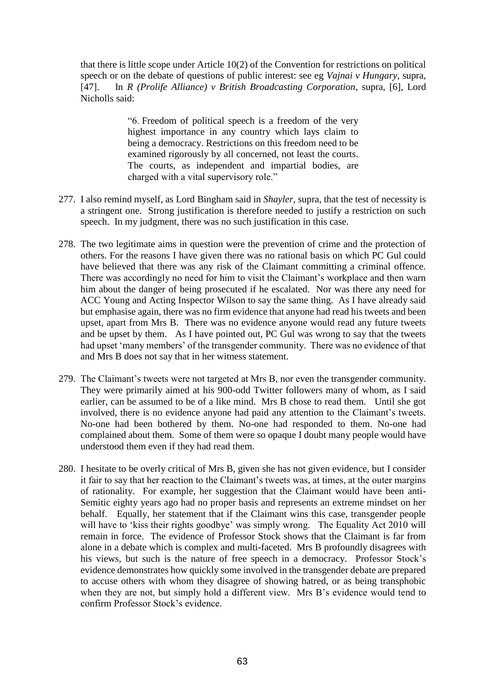that there is little scope under Article 10(2) of the Convention for restrictions on political speech or on the debate of questions of public interest: see eg *Vajnai v Hungary*, supra, [47]. In *R (Prolife Alliance) v British Broadcasting Corporation*, supra, [6], Lord Nicholls said:

> "6. Freedom of political speech is a freedom of the very highest importance in any country which lays claim to being a democracy. Restrictions on this freedom need to be examined rigorously by all concerned, not least the courts. The courts, as independent and impartial bodies, are charged with a vital supervisory role."

- 277. I also remind myself, as Lord Bingham said in *Shayler,* supra, that the test of necessity is a stringent one. Strong justification is therefore needed to justify a restriction on such speech. In my judgment, there was no such justification in this case.
- 278. The two legitimate aims in question were the prevention of crime and the protection of others. For the reasons I have given there was no rational basis on which PC Gul could have believed that there was any risk of the Claimant committing a criminal offence. There was accordingly no need for him to visit the Claimant's workplace and then warn him about the danger of being prosecuted if he escalated. Nor was there any need for ACC Young and Acting Inspector Wilson to say the same thing. As I have already said but emphasise again, there was no firm evidence that anyone had read his tweets and been upset, apart from Mrs B. There was no evidence anyone would read any future tweets and be upset by them. As I have pointed out, PC Gul was wrong to say that the tweets had upset 'many members' of the transgender community. There was no evidence of that and Mrs B does not say that in her witness statement.
- 279. The Claimant's tweets were not targeted at Mrs B, nor even the transgender community. They were primarily aimed at his 900-odd Twitter followers many of whom, as I said earlier, can be assumed to be of a like mind. Mrs B chose to read them. Until she got involved, there is no evidence anyone had paid any attention to the Claimant's tweets. No-one had been bothered by them. No-one had responded to them. No-one had complained about them. Some of them were so opaque I doubt many people would have understood them even if they had read them.
- 280. I hesitate to be overly critical of Mrs B, given she has not given evidence, but I consider it fair to say that her reaction to the Claimant's tweets was, at times, at the outer margins of rationality. For example, her suggestion that the Claimant would have been anti-Semitic eighty years ago had no proper basis and represents an extreme mindset on her behalf. Equally, her statement that if the Claimant wins this case, transgender people will have to 'kiss their rights goodbye' was simply wrong. The Equality Act 2010 will remain in force. The evidence of Professor Stock shows that the Claimant is far from alone in a debate which is complex and multi-faceted. Mrs B profoundly disagrees with his views, but such is the nature of free speech in a democracy. Professor Stock's evidence demonstrates how quickly some involved in the transgender debate are prepared to accuse others with whom they disagree of showing hatred, or as being transphobic when they are not, but simply hold a different view. Mrs B's evidence would tend to confirm Professor Stock's evidence.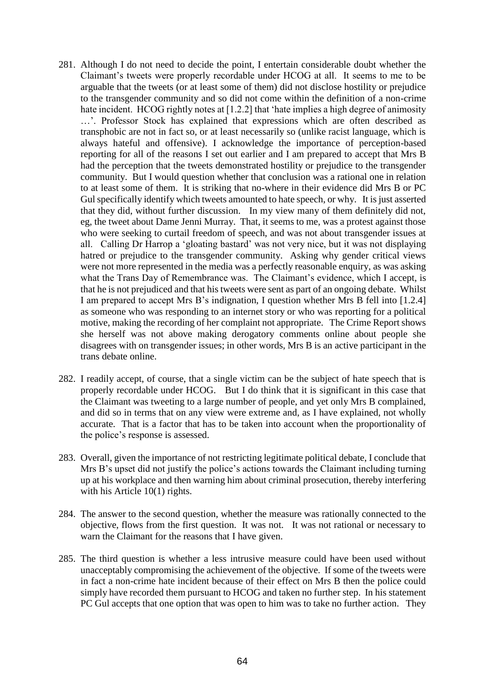- 281. Although I do not need to decide the point, I entertain considerable doubt whether the Claimant's tweets were properly recordable under HCOG at all. It seems to me to be arguable that the tweets (or at least some of them) did not disclose hostility or prejudice to the transgender community and so did not come within the definition of a non-crime hate incident. HCOG rightly notes at [1.2.2] that 'hate implies a high degree of animosity …'. Professor Stock has explained that expressions which are often described as transphobic are not in fact so, or at least necessarily so (unlike racist language, which is always hateful and offensive). I acknowledge the importance of perception-based reporting for all of the reasons I set out earlier and I am prepared to accept that Mrs B had the perception that the tweets demonstrated hostility or prejudice to the transgender community. But I would question whether that conclusion was a rational one in relation to at least some of them. It is striking that no-where in their evidence did Mrs B or PC Gul specifically identify which tweets amounted to hate speech, or why. It is just asserted that they did, without further discussion. In my view many of them definitely did not, eg, the tweet about Dame Jenni Murray. That, it seems to me, was a protest against those who were seeking to curtail freedom of speech, and was not about transgender issues at all. Calling Dr Harrop a 'gloating bastard' was not very nice, but it was not displaying hatred or prejudice to the transgender community. Asking why gender critical views were not more represented in the media was a perfectly reasonable enquiry, as was asking what the Trans Day of Remembrance was. The Claimant's evidence, which I accept, is that he is not prejudiced and that his tweets were sent as part of an ongoing debate. Whilst I am prepared to accept Mrs B's indignation, I question whether Mrs B fell into [1.2.4] as someone who was responding to an internet story or who was reporting for a political motive, making the recording of her complaint not appropriate. The Crime Report shows she herself was not above making derogatory comments online about people she disagrees with on transgender issues; in other words, Mrs B is an active participant in the trans debate online.
- 282. I readily accept, of course, that a single victim can be the subject of hate speech that is properly recordable under HCOG. But I do think that it is significant in this case that the Claimant was tweeting to a large number of people, and yet only Mrs B complained, and did so in terms that on any view were extreme and, as I have explained, not wholly accurate. That is a factor that has to be taken into account when the proportionality of the police's response is assessed.
- 283. Overall, given the importance of not restricting legitimate political debate, I conclude that Mrs B's upset did not justify the police's actions towards the Claimant including turning up at his workplace and then warning him about criminal prosecution, thereby interfering with his Article 10(1) rights.
- 284. The answer to the second question, whether the measure was rationally connected to the objective, flows from the first question. It was not. It was not rational or necessary to warn the Claimant for the reasons that I have given.
- 285. The third question is whether a less intrusive measure could have been used without unacceptably compromising the achievement of the objective. If some of the tweets were in fact a non-crime hate incident because of their effect on Mrs B then the police could simply have recorded them pursuant to HCOG and taken no further step. In his statement PC Gul accepts that one option that was open to him was to take no further action. They